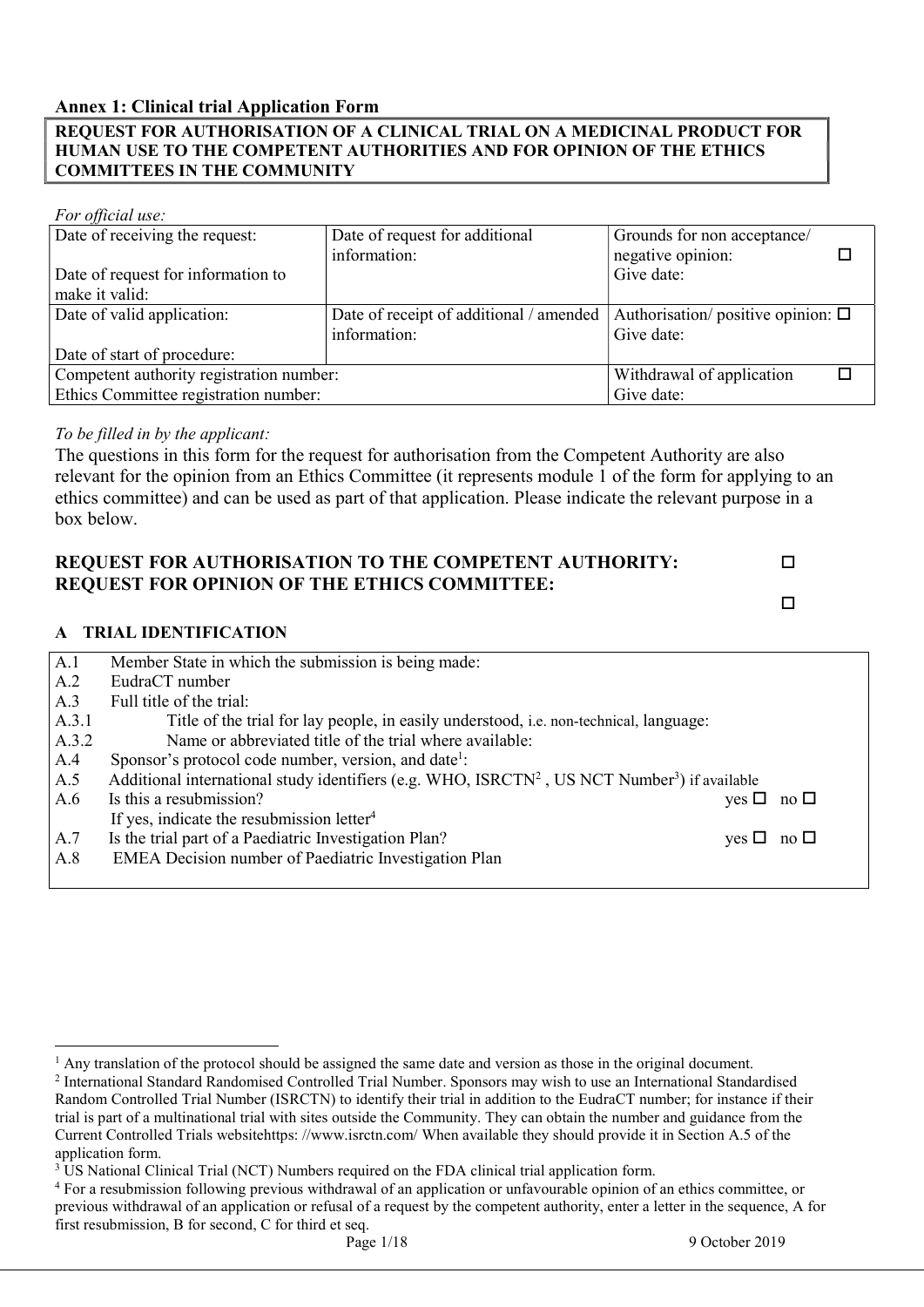#### Annex 1: Clinical trial Application Form

### REQUEST FOR AUTHORISATION OF A CLINICAL TRIAL ON A MEDICINAL PRODUCT FOR HUMAN USE TO THE COMPETENT AUTHORITIES AND FOR OPINION OF THE ETHICS COMMITTEES IN THE COMMUNITY

#### For official use:

| Date of receiving the request:                      | Date of request for additional          | Grounds for non acceptance/             |  |
|-----------------------------------------------------|-----------------------------------------|-----------------------------------------|--|
|                                                     | information:                            | negative opinion:                       |  |
| Date of request for information to                  |                                         | Give date:                              |  |
| make it valid:                                      |                                         |                                         |  |
| Date of valid application:                          | Date of receipt of additional / amended | Authorisation/ positive opinion: $\Box$ |  |
|                                                     | information:                            | Give date:                              |  |
| Date of start of procedure:                         |                                         |                                         |  |
| Competent authority registration number:            |                                         | Withdrawal of application               |  |
| Ethics Committee registration number:<br>Give date: |                                         |                                         |  |

### To be filled in by the applicant:

The questions in this form for the request for authorisation from the Competent Authority are also relevant for the opinion from an Ethics Committee (it represents module 1 of the form for applying to an ethics committee) and can be used as part of that application. Please indicate the relevant purpose in a box below.

### REQUEST FOR AUTHORISATION TO THE COMPETENT AUTHORITY: REQUEST FOR OPINION OF THE ETHICS COMMITTEE:

A TRIAL IDENTIFICATION

| A.1   | Member State in which the submission is being made:                                                                   |                      |  |
|-------|-----------------------------------------------------------------------------------------------------------------------|----------------------|--|
| A.2   | EudraCT number                                                                                                        |                      |  |
| A.3   | Full title of the trial:                                                                                              |                      |  |
| A.3.1 | Title of the trial for lay people, in easily understood, i.e. non-technical, language:                                |                      |  |
| A.3.2 | Name or abbreviated title of the trial where available:                                                               |                      |  |
| A.4   | Sponsor's protocol code number, version, and date <sup>1</sup> :                                                      |                      |  |
| A.5   | Additional international study identifiers (e.g. WHO, ISRCTN <sup>2</sup> , US NCT Number <sup>3</sup> ) if available |                      |  |
| A.6   | Is this a resubmission?                                                                                               | yes $\Box$ no $\Box$ |  |
|       | If yes, indicate the resubmission letter <sup>4</sup>                                                                 |                      |  |
| A.7   | Is the trial part of a Paediatric Investigation Plan?                                                                 | yes $\Box$ no $\Box$ |  |
| A.8   | EMEA Decision number of Paediatric Investigation Plan                                                                 |                      |  |
|       |                                                                                                                       |                      |  |

 $\Box$ 

 $\overline{a}$ <sup>1</sup> Any translation of the protocol should be assigned the same date and version as those in the original document.

<sup>&</sup>lt;sup>2</sup> International Standard Randomised Controlled Trial Number. Sponsors may wish to use an International Standardised Random Controlled Trial Number (ISRCTN) to identify their trial in addition to the EudraCT number; for instance if their trial is part of a multinational trial with sites outside the Community. They can obtain the number and guidance from the Current Controlled Trials websitehttps: //www.isrctn.com/ When available they should provide it in Section A.5 of the application form.

<sup>&</sup>lt;sup>3</sup> US National Clinical Trial (NCT) Numbers required on the FDA clinical trial application form.

<sup>4</sup> For a resubmission following previous withdrawal of an application or unfavourable opinion of an ethics committee, or previous withdrawal of an application or refusal of a request by the competent authority, enter a letter in the sequence, A for first resubmission, B for second, C for third et seq.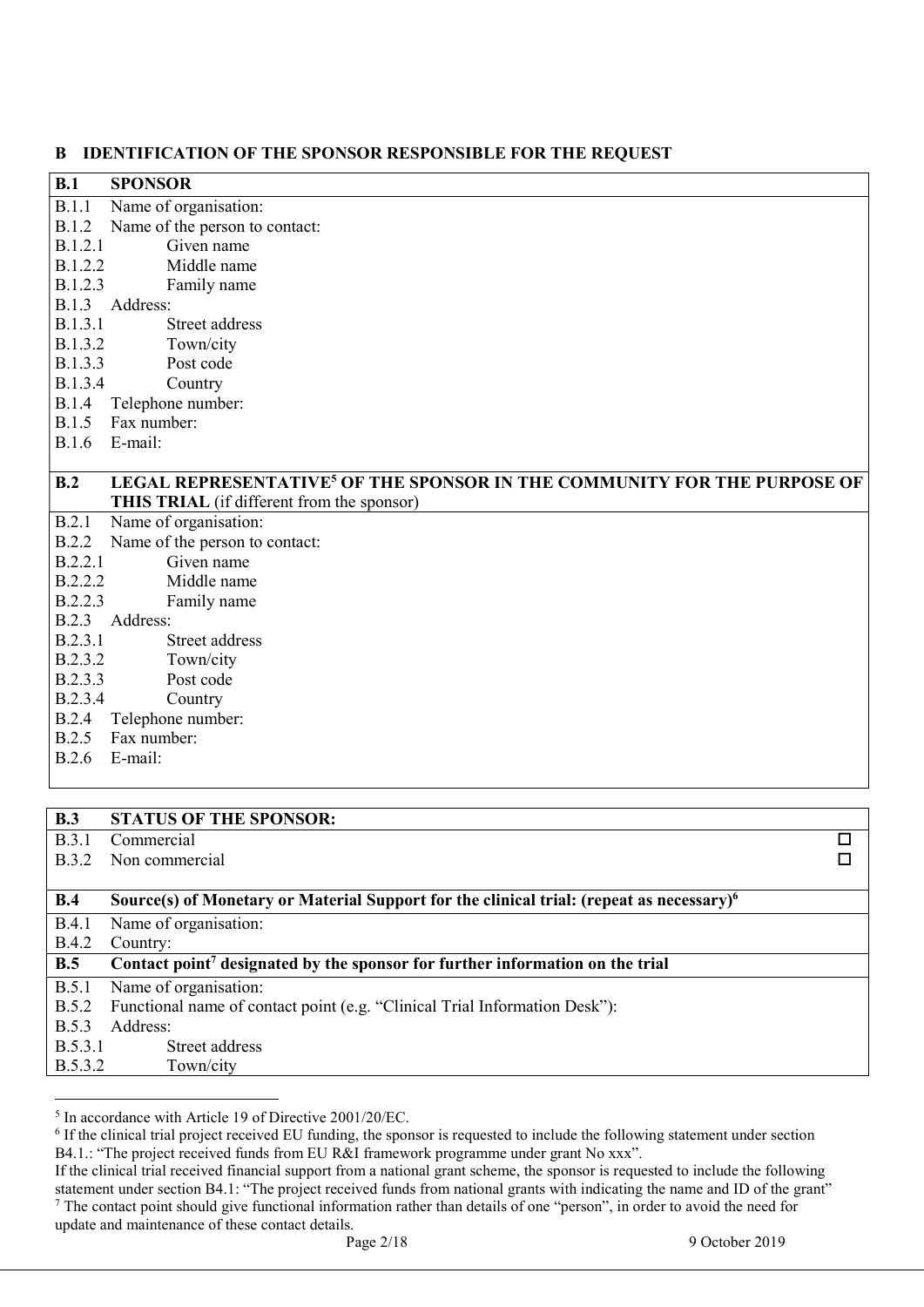#### B IDENTIFICATION OF THE SPONSOR RESPONSIBLE FOR THE REQUEST

| B              | IDENTIFICATION OF THE SPONSOR RESPONSIBLE FOR THE REQUEST                            |
|----------------|--------------------------------------------------------------------------------------|
| B.1            | <b>SPONSOR</b>                                                                       |
| B.1.1          | Name of organisation:                                                                |
| <b>B.1.2</b>   | Name of the person to contact:                                                       |
| <b>B.1.2.1</b> | Given name                                                                           |
| B.1.2.2        | Middle name                                                                          |
| B.1.2.3        | Family name                                                                          |
|                | B.1.3 Address:                                                                       |
| B.1.3.1        | Street address                                                                       |
| B.1.3.2        | Town/city                                                                            |
| B.1.3.3        | Post code                                                                            |
| B.1.3.4        | Country                                                                              |
| <b>B.1.4</b>   | Telephone number:                                                                    |
| B.1.5          | Fax number:                                                                          |
| <b>B.1.6</b>   | E-mail:                                                                              |
|                |                                                                                      |
| B.2            | LEGAL REPRESENTATIVE <sup>5</sup> OF THE SPONSOR IN THE COMMUNITY FOR THE PURPOSE OF |
|                | THIS TRIAL (if different from the sponsor)                                           |
| B.2.1          | Name of organisation:                                                                |
| B.2.2          | Name of the person to contact:                                                       |
| B.2.2.1        | Given name                                                                           |
| B.2.2.2        | Middle name                                                                          |
| B.2.2.3        | Family name                                                                          |
|                | B.2.3 Address:                                                                       |
| B.2.3.1        | Street address                                                                       |
| B.2.3.2        | Town/city                                                                            |
| B.2.3.3        | Post code                                                                            |
| B.2.3.4        | Country                                                                              |
|                | B.2.4 Telephone number:                                                              |
| B.2.5          | Fax number:                                                                          |
| <b>B.2.6</b>   | E-mail:                                                                              |
|                |                                                                                      |
|                |                                                                                      |
| D <sub>2</sub> | CT A THE AF THE CDANCAD.                                                             |

| B.J          | STATUS OF THE SPONSOR:                                                                           |  |
|--------------|--------------------------------------------------------------------------------------------------|--|
| <b>B.3.1</b> | Commercial                                                                                       |  |
| <b>B.3.2</b> | Non commercial                                                                                   |  |
|              |                                                                                                  |  |
| B.4          | Source(s) of Monetary or Material Support for the clinical trial: (repeat as necessary) $\delta$ |  |
| B.4.1        | Name of organisation:                                                                            |  |
| <b>B.4.2</b> | Country:                                                                                         |  |
| B.5          | Contact point <sup>7</sup> designated by the sponsor for further information on the trial        |  |
| B.5.1        | Name of organisation:                                                                            |  |
| <b>B.5.2</b> | Functional name of contact point (e.g. "Clinical Trial Information Desk"):                       |  |
| <b>B.5.3</b> | Address:                                                                                         |  |
| B.5.3.1      | Street address                                                                                   |  |
| B.5.3.2      | Town/city                                                                                        |  |
|              |                                                                                                  |  |
|              |                                                                                                  |  |

<sup>5</sup> In accordance with Article 19 of Directive 2001/20/EC.

<sup>&</sup>lt;sup>6</sup> If the clinical trial project received EU funding, the sponsor is requested to include the following statement under section B4.1.: "The project received funds from EU R&I framework programme under grant No xxx".

If the clinical trial received financial support from a national grant scheme, the sponsor is requested to include the following statement under section B4.1: "The project received funds from national grants with indicating the name and ID of the grant"  $<sup>7</sup>$  The contact point should give functional information rather than details of one "person", in order to avoid the need for</sup> update and maintenance of these contact details.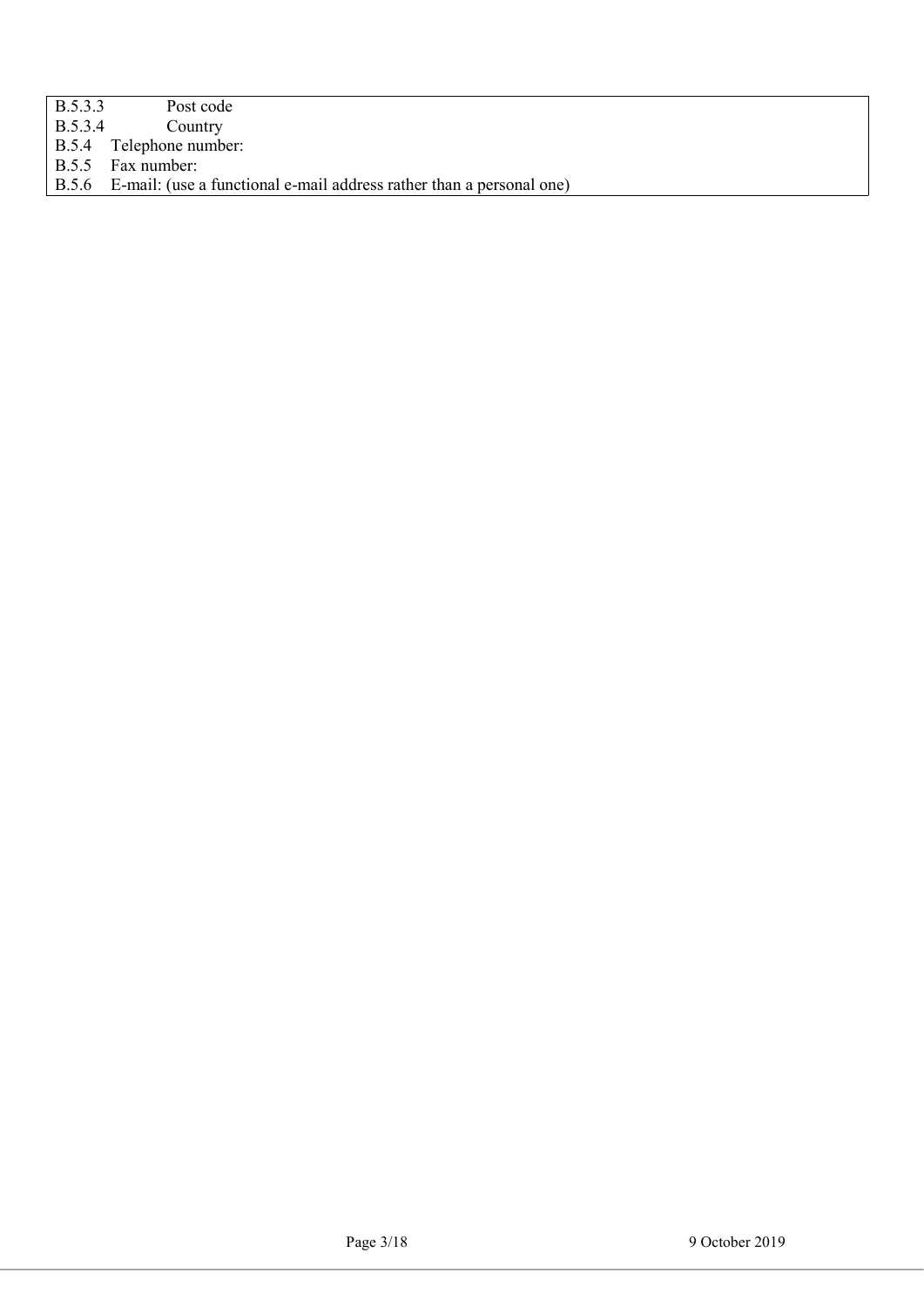- B.5.3.3 Post code<br>B.5.3.4 Country
- B.5.3.4 Country<br>B.5.4 Telephone numb
- B.5.4 Telephone number:<br>B.5.5 Fax number:

Fax number:

B.5.6 E-mail: (use a functional e-mail address rather than a personal one)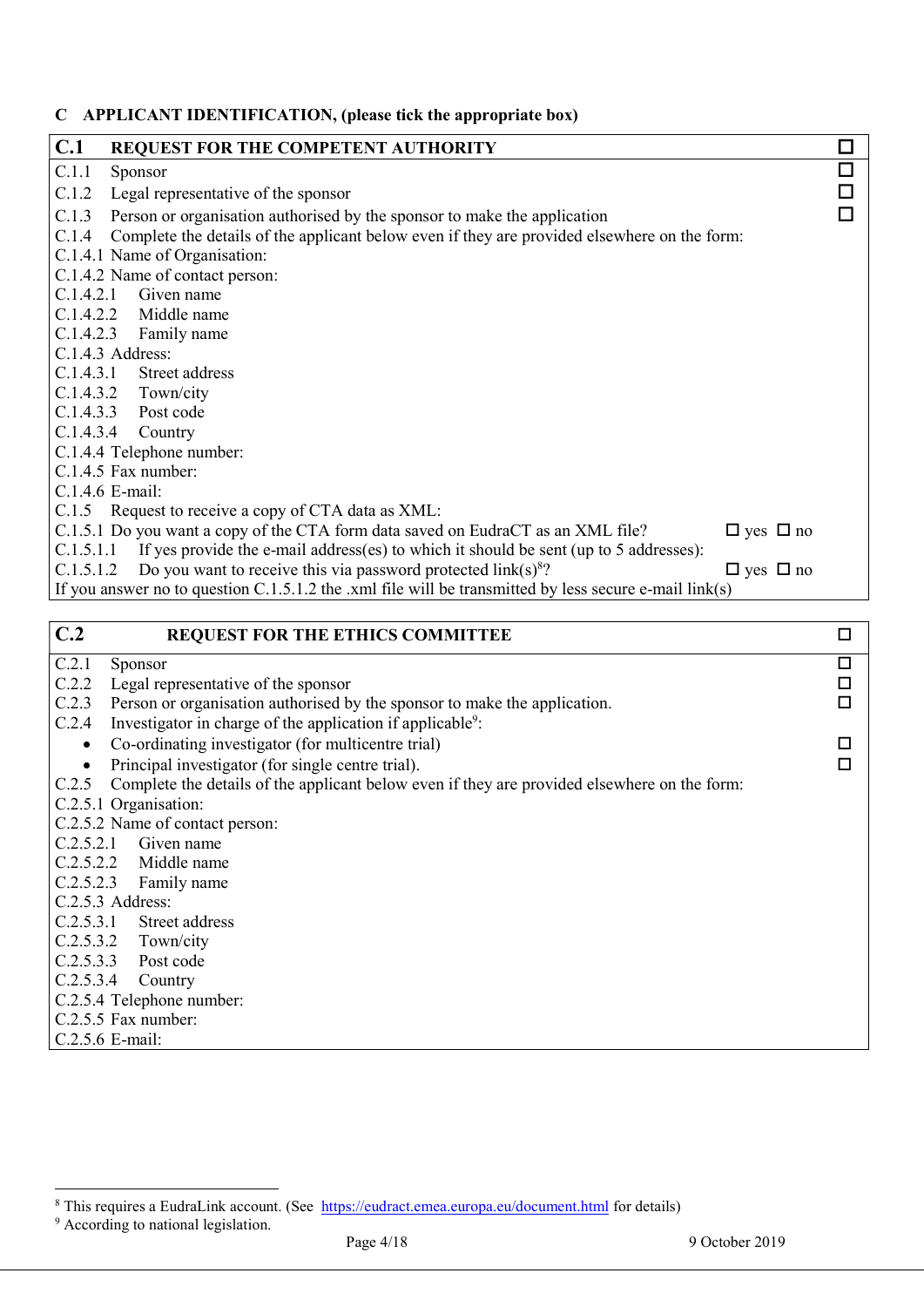## C APPLICANT IDENTIFICATION, (please tick the appropriate box)

| C.1             | <b>REQUEST FOR THE COMPETENT AUTHORITY</b>                                                               | $\Box$       |
|-----------------|----------------------------------------------------------------------------------------------------------|--------------|
| C.1.1           | Sponsor                                                                                                  | $\Box$       |
| C.1.2           | Legal representative of the sponsor                                                                      | $\mathbf{r}$ |
| C.1.3           | Person or organisation authorised by the sponsor to make the application                                 |              |
| C.1.4           | Complete the details of the applicant below even if they are provided elsewhere on the form:             |              |
|                 | C.1.4.1 Name of Organisation:                                                                            |              |
|                 | C.1.4.2 Name of contact person:                                                                          |              |
|                 | $C.1.4.2.1$ Given name                                                                                   |              |
|                 | C.1.4.2.2 Middle name                                                                                    |              |
|                 | C.1.4.2.3 Family name                                                                                    |              |
|                 | C.1.4.3 Address:                                                                                         |              |
|                 | C.1.4.3.1 Street address                                                                                 |              |
|                 | $C.1.4.3.2$ Town/city                                                                                    |              |
| C.1.4.3.3       | Post code                                                                                                |              |
|                 | $C.1.4.3.4$ Country                                                                                      |              |
|                 | C.1.4.4 Telephone number:                                                                                |              |
|                 | C.1.4.5 Fax number:                                                                                      |              |
| C.1.4.6 E-mail: |                                                                                                          |              |
|                 | C.1.5 Request to receive a copy of CTA data as XML:                                                      |              |
|                 | C.1.5.1 Do you want a copy of the CTA form data saved on EudraCT as an XML file?<br>$\Box$ yes $\Box$ no |              |
| C.1.5.1.1       | If yes provide the e-mail address(es) to which it should be sent (up to 5 addresses):                    |              |
| C.1.5.1.2       | Do you want to receive this via password protected $link(s)^8$ ?<br>$\Box$ yes $\Box$ no                 |              |
|                 | If you answer no to question $C.1.5.1.2$ the .xml file will be transmitted by less secure e-mail link(s) |              |
|                 |                                                                                                          |              |

| C.2       | <b>REQUEST FOR THE ETHICS COMMITTEE</b>                                                      | $\Box$ |
|-----------|----------------------------------------------------------------------------------------------|--------|
| C.2.1     | Sponsor                                                                                      | $\Box$ |
| C.2.2     | Legal representative of the sponsor                                                          | $\Box$ |
| C.2.3     | Person or organisation authorised by the sponsor to make the application.                    | $\Box$ |
| C.2.4     | Investigator in charge of the application if applicable <sup>9</sup> :                       |        |
| $\bullet$ | Co-ordinating investigator (for multicentre trial)                                           |        |
| $\bullet$ | Principal investigator (for single centre trial).                                            |        |
| C.2.5     | Complete the details of the applicant below even if they are provided elsewhere on the form: |        |
|           | C.2.5.1 Organisation:                                                                        |        |
|           | C.2.5.2 Name of contact person:                                                              |        |
| C.2.5.2.1 | Given name                                                                                   |        |
|           | C.2.5.2.2 Middle name                                                                        |        |
|           | C.2.5.2.3 Family name                                                                        |        |
|           | C.2.5.3 Address:                                                                             |        |
|           | C.2.5.3.1 Street address                                                                     |        |
|           | $C.2.5.3.2$ Town/city                                                                        |        |
|           | C.2.5.3.3 Post code                                                                          |        |
|           | $C.2.5.3.4$ Country                                                                          |        |
|           | C.2.5.4 Telephone number:                                                                    |        |
|           | C.2.5.5 Fax number:                                                                          |        |
|           | C.2.5.6 E-mail:                                                                              |        |

<sup>&</sup>lt;sup>8</sup> This requires a EudraLink account. (See https://eudract.emea.europa.eu/document.html for details)<br><sup>9</sup> According to national legislation.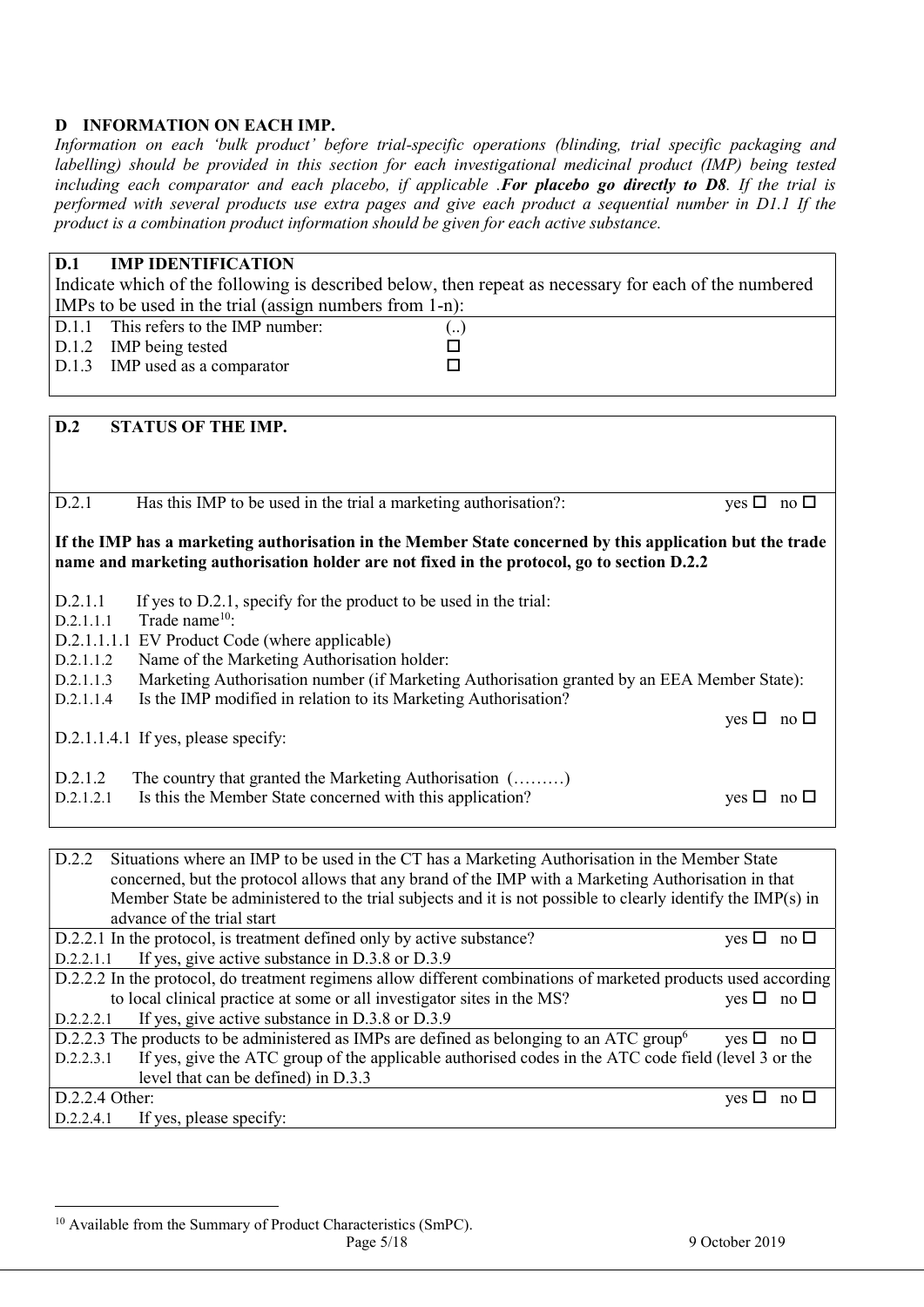### D INFORMATION ON EACH IMP.

Information on each 'bulk product' before trial-specific operations (blinding, trial specific packaging and labelling) should be provided in this section for each investigational medicinal product (IMP) being tested including each comparator and each placebo, if applicable .For placebo go directly to D8. If the trial is performed with several products use extra pages and give each product a sequential number in D1.1 If the product is a combination product information should be given for each active substance.

# D.1 IMP IDENTIFICATION

Indicate which of the following is described below, then repeat as necessary for each of the numbered IMPs to be used in the trial (assign numbers from 1-n):

| D.1.1 This refers to the IMP number: | ( ) |
|--------------------------------------|-----|
| D.1.2 IMP being tested               |     |
| D.1.3 IMP used as a comparator       |     |

| D.2<br>STATUS OF THE IMP.                                                                                                                                                                              |                            |  |
|--------------------------------------------------------------------------------------------------------------------------------------------------------------------------------------------------------|----------------------------|--|
|                                                                                                                                                                                                        |                            |  |
|                                                                                                                                                                                                        |                            |  |
| D.2.1<br>Has this IMP to be used in the trial a marketing authorisation?:                                                                                                                              | yes $\Box$ no $\Box$       |  |
| If the IMP has a marketing authorisation in the Member State concerned by this application but the trade<br>name and marketing authorisation holder are not fixed in the protocol, go to section D.2.2 |                            |  |
| If yes to D.2.1, specify for the product to be used in the trial:<br>D.2.1.1<br>Trade name <sup>10</sup> :<br>D.2.1.1.1                                                                                |                            |  |
| D.2.1.1.1.1 EV Product Code (where applicable)                                                                                                                                                         |                            |  |
| Name of the Marketing Authorisation holder:<br>D.2.1.1.2                                                                                                                                               |                            |  |
| Marketing Authorisation number (if Marketing Authorisation granted by an EEA Member State):<br>D.2.1.1.3<br>Is the IMP modified in relation to its Marketing Authorisation?<br>D.2.1.1.4               |                            |  |
|                                                                                                                                                                                                        | yes $\Box$ no $\Box$       |  |
| D.2.1.1.4.1 If yes, please specify:                                                                                                                                                                    |                            |  |
| D.2.1.2<br>The country that granted the Marketing Authorisation ()                                                                                                                                     |                            |  |
| Is this the Member State concerned with this application?<br>D.2.1.2.1                                                                                                                                 | yes $\Box$ no $\Box$       |  |
|                                                                                                                                                                                                        |                            |  |
| D.2.2<br>Situations where an IMP to be used in the CT has a Marketing Authorisation in the Member State                                                                                                |                            |  |
| concerned, but the protocol allows that any brand of the IMP with a Marketing Authorisation in that                                                                                                    |                            |  |
| Member State be administered to the trial subjects and it is not possible to clearly identify the IMP(s) in<br>advance of the trial start                                                              |                            |  |
| D.2.2.1 In the protocol, is treatment defined only by active substance?                                                                                                                                | yes $\square$ no $\square$ |  |
| If yes, give active substance in D.3.8 or D.3.9<br>D.2.2.1.1                                                                                                                                           |                            |  |
| D.2.2.2 In the protocol, do treatment regimens allow different combinations of marketed products used according                                                                                        |                            |  |
| to local clinical practice at some or all investigator sites in the MS?                                                                                                                                | yes $\square$ no $\square$ |  |
| If yes, give active substance in D.3.8 or D.3.9<br>D.2.2.2.1                                                                                                                                           |                            |  |
| D.2.2.3 The products to be administered as IMPs are defined as belonging to an ATC group <sup>6</sup>                                                                                                  | yes $\Box$ no $\Box$       |  |
| If yes, give the ATC group of the applicable authorised codes in the ATC code field (level 3 or the<br>D.2.2.3.1                                                                                       |                            |  |
| level that can be defined) in D.3.3                                                                                                                                                                    |                            |  |
| D.2.2.4 Other:                                                                                                                                                                                         | yes $\square$ no $\square$ |  |

 $\overline{a}$ 

D.2.2.4.1 If yes, please specify:

<sup>&</sup>lt;sup>10</sup> Available from the Summary of Product Characteristics (SmPC).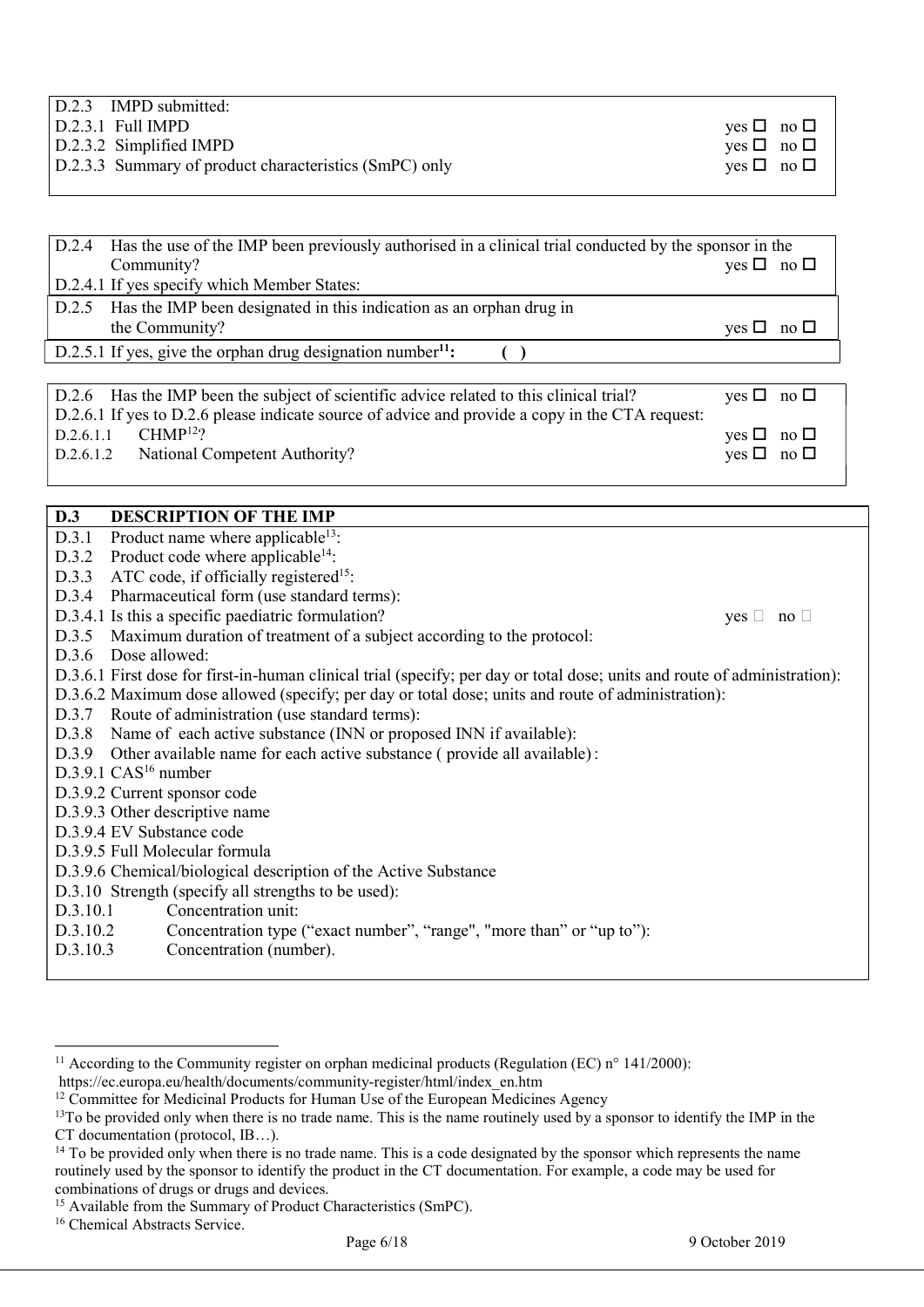| $D.2.3$ IMPD submitted:                                |                               |
|--------------------------------------------------------|-------------------------------|
| $D.2.3.1$ Full IMPD                                    | yes $\Box$ no $\Box$          |
| $D.2.3.2$ Simplified IMPD                              | yes $\Box$ no $\Box$          |
| D.2.3.3 Summary of product characteristics (SmPC) only | $\forall$ es $\Box$ no $\Box$ |
|                                                        |                               |

| D.2.4                  | Has the use of the IMP been previously authorised in a clinical trial conducted by the sponsor in the                                          |                                                    |
|------------------------|------------------------------------------------------------------------------------------------------------------------------------------------|----------------------------------------------------|
|                        | Community?<br>D.2.4.1 If yes specify which Member States:                                                                                      | $ves \Box no \Box$                                 |
| D.2.5                  | Has the IMP been designated in this indication as an orphan drug in<br>the Community?                                                          | no $\square$<br>$ves \Box$                         |
|                        | D.2.5.1 If yes, give the orphan drug designation number <sup>11</sup> :                                                                        |                                                    |
|                        |                                                                                                                                                |                                                    |
|                        | D.2.6 Has the IMP been the subject of scientific advice related to this clinical trial?                                                        | yes $\Box$ no $\Box$                               |
| D.2.6.1.1<br>D.2.6.1.2 | D.2.6.1 If yes to D.2.6 please indicate source of advice and provide a copy in the CTA request:<br>$CHMP12$ ?<br>National Competent Authority? | no $\square$<br>$ves \Box$<br>yes $\Box$ no $\Box$ |

| D.3<br><b>DESCRIPTION OF THE IMP</b>                                                                                      |  |
|---------------------------------------------------------------------------------------------------------------------------|--|
| Product name where applicable <sup>13</sup> :<br>D.3.1                                                                    |  |
| $D.3.2$ Product code where applicable <sup>14</sup> :                                                                     |  |
| D.3.3 ATC code, if officially registered <sup>15</sup> :                                                                  |  |
| D.3.4 Pharmaceutical form (use standard terms):                                                                           |  |
| D.3.4.1 Is this a specific paediatric formulation?<br>$ves \Box no \Box$                                                  |  |
| D.3.5 Maximum duration of treatment of a subject according to the protocol:                                               |  |
| D.3.6 Dose allowed:                                                                                                       |  |
| D.3.6.1 First dose for first-in-human clinical trial (specify; per day or total dose; units and route of administration): |  |
| D.3.6.2 Maximum dose allowed (specify; per day or total dose; units and route of administration):                         |  |
| D.3.7 Route of administration (use standard terms):                                                                       |  |
| D.3.8 Name of each active substance (INN or proposed INN if available):                                                   |  |
| D.3.9 Other available name for each active substance (provide all available):                                             |  |
| $D.3.9.1$ CAS <sup>16</sup> number                                                                                        |  |
| D.3.9.2 Current sponsor code                                                                                              |  |
| D.3.9.3 Other descriptive name                                                                                            |  |
| D.3.9.4 EV Substance code                                                                                                 |  |
| D.3.9.5 Full Molecular formula                                                                                            |  |
| D.3.9.6 Chemical/biological description of the Active Substance                                                           |  |
| D.3.10 Strength (specify all strengths to be used):                                                                       |  |
| Concentration unit:<br>D.3.10.1                                                                                           |  |
| D.3.10.2<br>Concentration type ("exact number", "range", "more than" or "up to"):                                         |  |
| Concentration (number).<br>D.3.10.3                                                                                       |  |
|                                                                                                                           |  |

<sup>&</sup>lt;sup>11</sup> According to the Community register on orphan medicinal products (Regulation (EC)  $n^{\circ}$  141/2000):

https://ec.europa.eu/health/documents/community-register/html/index\_en.htm

 $12$  Committee for Medicinal Products for Human Use of the European Medicines Agency

<sup>&</sup>lt;sup>13</sup>To be provided only when there is no trade name. This is the name routinely used by a sponsor to identify the IMP in the CT documentation (protocol, IB…).

 $14$  To be provided only when there is no trade name. This is a code designated by the sponsor which represents the name routinely used by the sponsor to identify the product in the CT documentation. For example, a code may be used for combinations of drugs or drugs and devices.

<sup>&</sup>lt;sup>15</sup> Available from the Summary of Product Characteristics (SmPC).

<sup>&</sup>lt;sup>16</sup> Chemical Abstracts Service.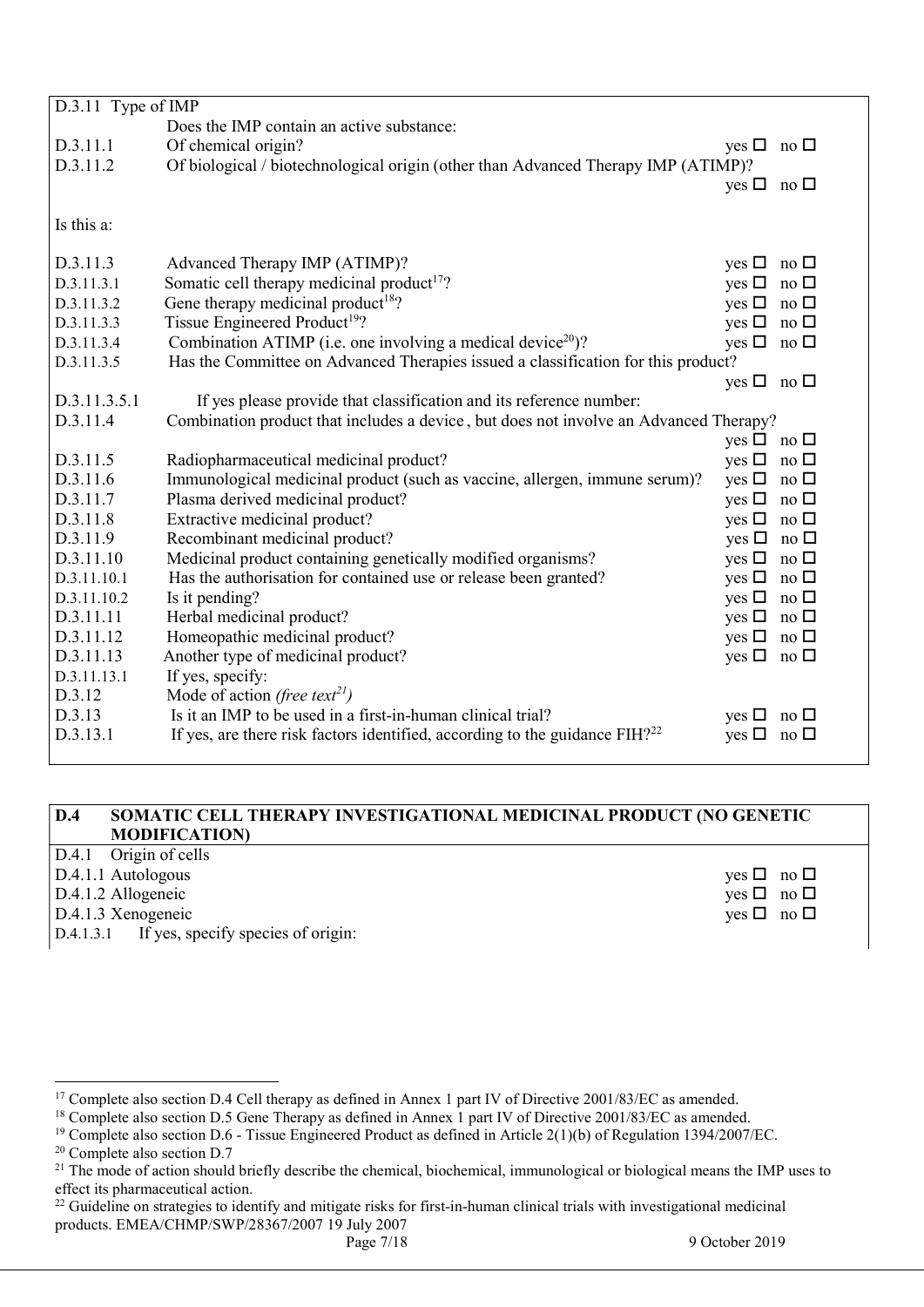| D.3.11 Type of IMP |                                                                                         |                            |                          |
|--------------------|-----------------------------------------------------------------------------------------|----------------------------|--------------------------|
|                    | Does the IMP contain an active substance:                                               |                            |                          |
| D.3.11.1           | Of chemical origin?                                                                     | yes $\Box$ no $\Box$       |                          |
| D.3.11.2           | Of biological / biotechnological origin (other than Advanced Therapy IMP (ATIMP)?       |                            |                          |
|                    |                                                                                         | yes $\Box$ no $\Box$       |                          |
|                    |                                                                                         |                            |                          |
| Is this a:         |                                                                                         |                            |                          |
|                    |                                                                                         |                            |                          |
| D.3.11.3           | Advanced Therapy IMP (ATIMP)?                                                           | yes $\square$ no $\square$ |                          |
| D.3.11.3.1         | Somatic cell therapy medicinal product <sup>17</sup> ?                                  | yes $\Box$ no $\Box$       |                          |
| D.3.11.3.2         | Gene therapy medicinal product <sup>18</sup> ?                                          | yes $\Box$ no $\Box$       |                          |
| D.3.11.3.3         | Tissue Engineered Product <sup>19</sup> ?                                               | yes $\Box$ no $\Box$       |                          |
| D.3.11.3.4         | Combination ATIMP (i.e. one involving a medical device <sup>20</sup> )?                 | yes $\square$ no $\square$ |                          |
| D.3.11.3.5         | Has the Committee on Advanced Therapies issued a classification for this product?       |                            |                          |
|                    |                                                                                         | yes $\Box$ no $\Box$       |                          |
| D.3.11.3.5.1       | If yes please provide that classification and its reference number:                     |                            |                          |
| D.3.11.4           | Combination product that includes a device, but does not involve an Advanced Therapy?   |                            |                          |
|                    |                                                                                         | yes $\Box$ no $\Box$       |                          |
| D.3.11.5           | Radiopharmaceutical medicinal product?                                                  | yes $\Box$ no $\Box$       |                          |
| D.3.11.6           | Immunological medicinal product (such as vaccine, allergen, immune serum)?              | yes $\square$ no $\square$ |                          |
| D.3.11.7           | Plasma derived medicinal product?                                                       | yes $\Box$ no $\Box$       |                          |
| D.3.11.8           | Extractive medicinal product?                                                           | yes $\Box$ no $\Box$       |                          |
| D.3.11.9           | Recombinant medicinal product?                                                          | yes $\Box$ no $\Box$       |                          |
| D.3.11.10          | Medicinal product containing genetically modified organisms?                            | yes $\Box$ no $\Box$       |                          |
| D.3.11.10.1        | Has the authorisation for contained use or release been granted?                        | yes $\Box$ no $\Box$       |                          |
| D.3.11.10.2        | Is it pending?                                                                          | yes $\Box$ no $\Box$       |                          |
| D.3.11.11          | Herbal medicinal product?                                                               | yes $\Box$ no $\Box$       |                          |
| D.3.11.12          | Homeopathic medicinal product?                                                          | yes $\square$ no $\square$ |                          |
| D.3.11.13          | Another type of medicinal product?                                                      | yes $\Box$ no $\Box$       |                          |
| D.3.11.13.1        | If yes, specify:                                                                        |                            |                          |
| D.3.12             | Mode of action (free text <sup>21</sup> )                                               |                            |                          |
| D.3.13             | Is it an IMP to be used in a first-in-human clinical trial?                             | yes $\Box$ no $\Box$       |                          |
| D.3.13.1           | If yes, are there risk factors identified, according to the guidance FIH? <sup>22</sup> | yes $\square$              | $\overline{p}$ no $\Box$ |
|                    |                                                                                         |                            |                          |

### D.4 SOMATIC CELL THERAPY INVESTIGATIONAL MEDICINAL PRODUCT (NO GENETIC MODIFICATION)

| $ D.4.1$ Origin of cells                        |                               |
|-------------------------------------------------|-------------------------------|
| $\vert$ D.4.1.1 Autologous                      | $\forall$ es $\Box$ no $\Box$ |
| $D.4.1.2$ Allogeneic                            | $yes \Box no \Box$            |
| $D.4.1.3$ Xenogeneic                            | $yes \Box no \Box$            |
| $ D.4.1.3.1$ If yes, specify species of origin: |                               |

<sup>&</sup>lt;sup>17</sup> Complete also section D.4 Cell therapy as defined in Annex 1 part IV of Directive 2001/83/EC as amended.

<sup>&</sup>lt;sup>18</sup> Complete also section D.5 Gene Therapy as defined in Annex 1 part IV of Directive 2001/83/EC as amended.

<sup>&</sup>lt;sup>19</sup> Complete also section D.6 - Tissue Engineered Product as defined in Article 2(1)(b) of Regulation 1394/2007/EC.

<sup>&</sup>lt;sup>20</sup> Complete also section D.7

 $21$  The mode of action should briefly describe the chemical, biochemical, immunological or biological means the IMP uses to effect its pharmaceutical action.

<sup>&</sup>lt;sup>22</sup> Guideline on strategies to identify and mitigate risks for first-in-human clinical trials with investigational medicinal products. EMEA/CHMP/SWP/28367/2007 19 July 2007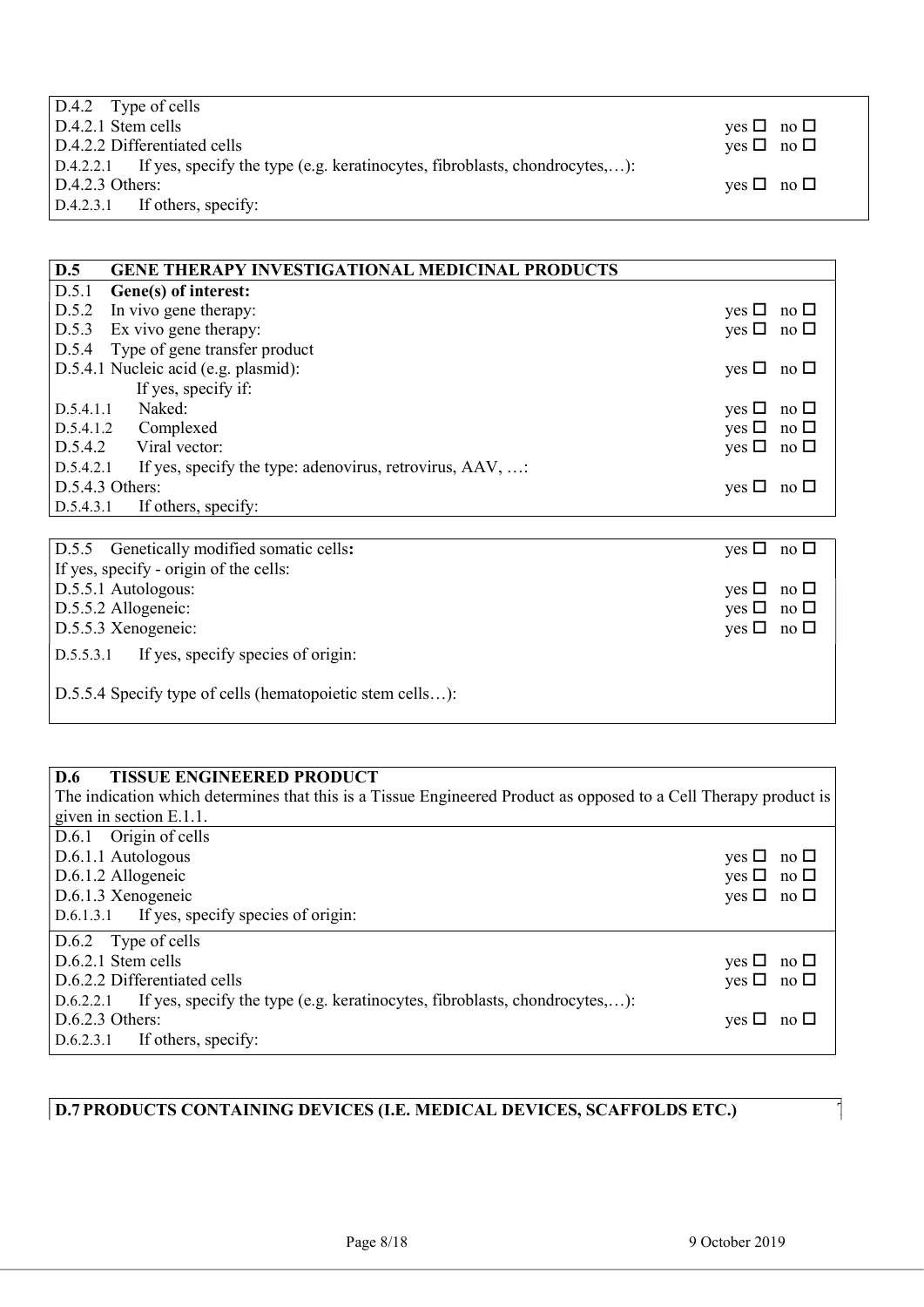| $\vert$ D.4.2 Type of cells                                                            |                               |
|----------------------------------------------------------------------------------------|-------------------------------|
| $D.4.2.1$ Stem cells                                                                   | yes $\Box$ no $\Box$          |
| D.4.2.2 Differentiated cells                                                           | $yes \Box no \Box$            |
| $D.4.2.2.1$ If yes, specify the type (e.g. keratinocytes, fibroblasts, chondrocytes,): |                               |
| $D.4.2.3$ Others:                                                                      | $\forall$ es $\Box$ no $\Box$ |
| $D.4.2.3.1$ If others, specify:                                                        |                               |

| D.5<br><b>GENE THERAPY INVESTIGATIONAL MEDICINAL PRODUCTS</b>      |                                           |  |
|--------------------------------------------------------------------|-------------------------------------------|--|
| D.5.1<br>Gene(s) of interest:                                      |                                           |  |
| D.5.2<br>In vivo gene therapy:                                     | yes $\Box$<br>no $\square$                |  |
| Ex vivo gene therapy:<br>D.5.3                                     | yes $\Box$ no $\Box$                      |  |
| Type of gene transfer product<br>D.5.4                             |                                           |  |
| D.5.4.1 Nucleic acid (e.g. plasmid):                               | yes $\Box$<br>no $\square$                |  |
| If yes, specify if:                                                |                                           |  |
| Naked:<br>D.5.4.1.1                                                | $yes \Box$<br>no $\square$                |  |
| Complexed<br>D.5.4.1.2                                             | yes $\square$<br>no $\square$             |  |
| D.5.4.2 Viral vector:                                              | yes $\Box$ no $\Box$                      |  |
| D.5.4.2.1 If yes, specify the type: adenovirus, retrovirus, AAV, : |                                           |  |
| D.5.4.3 Others:                                                    | yes $\Box$ no $\Box$                      |  |
| D.5.4.3.1<br>If others, specify:                                   |                                           |  |
|                                                                    |                                           |  |
| D.5.5 Genetically modified somatic cells:                          | yes $\Box$ no $\Box$                      |  |
| If yes, specify - origin of the cells:                             |                                           |  |
| D.5.5.1 Autologous:                                                | yes $\Box$<br>no $\square$                |  |
| D.5.5.2 Allogeneic:                                                | yes $\Box$<br>no $\Box$                   |  |
| D.5.5.3 Xenogeneic:                                                | yes $\square$<br>$\overline{p}$ no $\Box$ |  |
| If yes, specify species of origin:<br>D.5.5.3.1                    |                                           |  |
| D.5.5.4 Specify type of cells (hematopoietic stem cells):          |                                           |  |

| <b>D.6</b><br><b>TISSUE ENGINEERED PRODUCT</b>                                          |                                                                                                                  |  |  |
|-----------------------------------------------------------------------------------------|------------------------------------------------------------------------------------------------------------------|--|--|
|                                                                                         | The indication which determines that this is a Tissue Engineered Product as opposed to a Cell Therapy product is |  |  |
| given in section E.1.1.                                                                 |                                                                                                                  |  |  |
| D.6.1 Origin of cells                                                                   |                                                                                                                  |  |  |
| D.6.1.1 Autologous                                                                      | yes $\Box$ no $\Box$                                                                                             |  |  |
| D.6.1.2 Allogeneic                                                                      | yes $\Box$ no $\Box$                                                                                             |  |  |
| D.6.1.3 Xenogeneic                                                                      | yes $\Box$ no $\Box$                                                                                             |  |  |
| D.6.1.3.1 If yes, specify species of origin:                                            |                                                                                                                  |  |  |
| D.6.2 Type of cells                                                                     |                                                                                                                  |  |  |
| D.6.2.1 Stem cells                                                                      | yes $\Box$ no $\Box$                                                                                             |  |  |
| D.6.2.2 Differentiated cells                                                            | yes $\Box$ no $\Box$                                                                                             |  |  |
| If yes, specify the type (e.g. keratinocytes, fibroblasts, chondrocytes,):<br>D.6.2.2.1 |                                                                                                                  |  |  |
| $D.6.2.3$ Others:                                                                       | $\forall$ es $\Box$ no $\Box$                                                                                    |  |  |
| If others, specify:<br>D.6.2.3.1                                                        |                                                                                                                  |  |  |

# D.7 PRODUCTS CONTAINING DEVICES (I.E. MEDICAL DEVICES, SCAFFOLDS ETC.)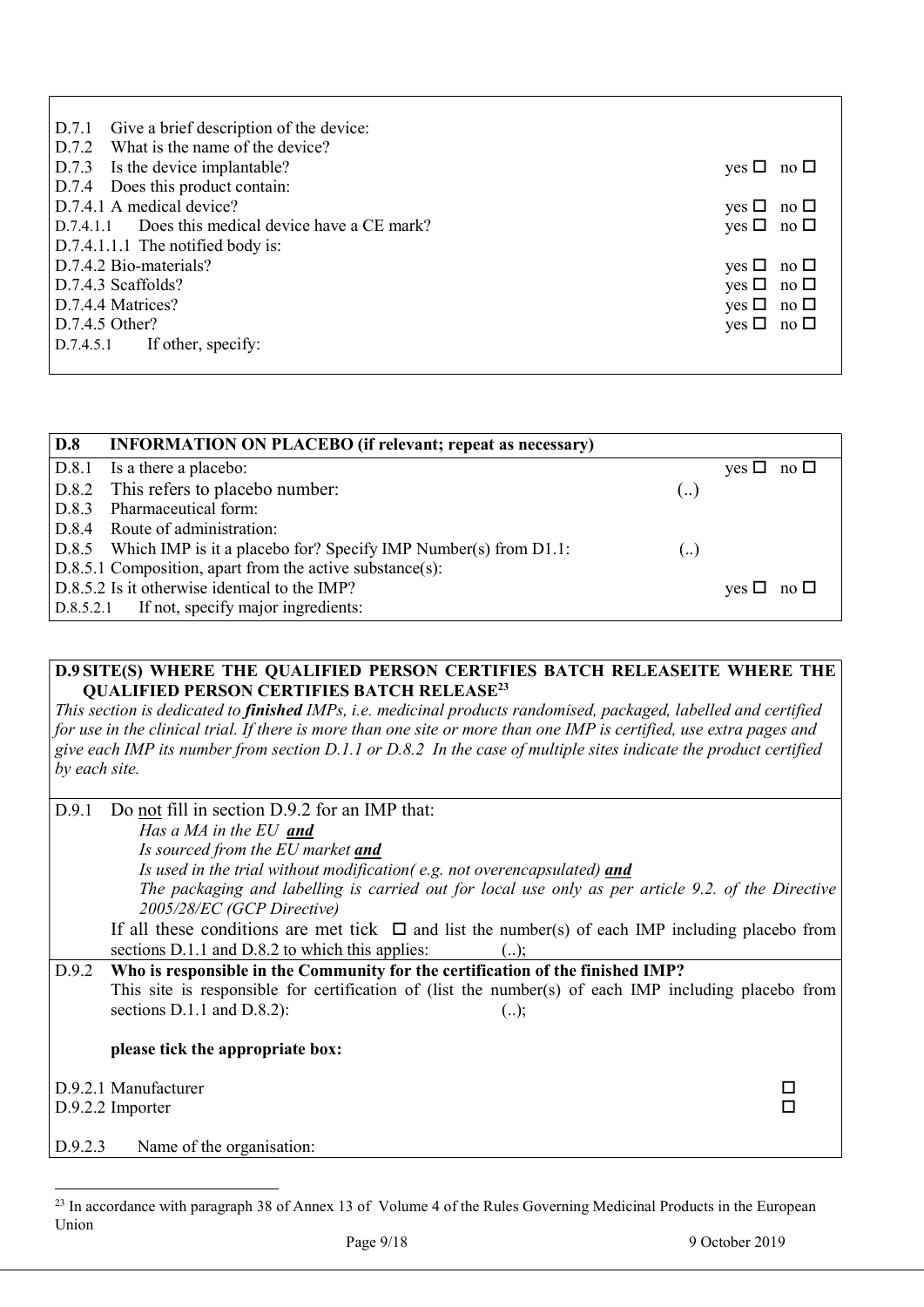| D.7.1 Give a brief description of the device:      |                      |
|----------------------------------------------------|----------------------|
| D.7.2 What is the name of the device?              |                      |
| D.7.3 Is the device implantable?                   | yes $\Box$ no $\Box$ |
| D.7.4 Does this product contain:                   |                      |
| D.7.4.1 A medical device?                          | yes $\Box$ no $\Box$ |
| D.7.4.1.1 Does this medical device have a CE mark? | yes $\Box$ no $\Box$ |
| D.7.4.1.1.1 The notified body is:                  |                      |
| D.7.4.2 Bio-materials?                             | yes $\Box$ no $\Box$ |
| D.7.4.3 Scaffolds?                                 | yes $\Box$ no $\Box$ |
| D.7.4.4 Matrices?                                  | yes $\Box$ no $\Box$ |
| D.7.4.5 Other?                                     | yes $\Box$ no $\Box$ |
| $D.7.4.5.1$ If other, specify:                     |                      |
|                                                    |                      |

| D.8 | <b>INFORMATION ON PLACEBO</b> (if relevant; repeat as necessary)        |                   |                      |
|-----|-------------------------------------------------------------------------|-------------------|----------------------|
|     | D.8.1 Is a there a placebo:                                             |                   | yes $\Box$ no $\Box$ |
|     | D.8.2 This refers to placebo number:                                    | ا …               |                      |
|     | D.8.3 Pharmaceutical form:                                              |                   |                      |
|     | D.8.4 Route of administration:                                          |                   |                      |
|     | $D.8.5$ Which IMP is it a placebo for? Specify IMP Number(s) from D1.1: | $\left(  \right)$ |                      |
|     | $D.8.5.1$ Composition, apart from the active substance(s):              |                   |                      |
|     | D.8.5.2 Is it otherwise identical to the IMP?                           |                   | yes $\Box$ no $\Box$ |
|     | D.8.5.2.1 If not, specify major ingredients:                            |                   |                      |

### D.9 SITE(S) WHERE THE QUALIFIED PERSON CERTIFIES BATCH RELEASEITE WHERE THE QUALIFIED PERSON CERTIFIES BATCH RELEASE<sup>23</sup>

This section is dedicated to *finished IMPs, i.e. medicinal products randomised, packaged, labelled and certified* for use in the clinical trial. If there is more than one site or more than one IMP is certified, use extra pages and give each IMP its number from section D.1.1 or D.8.2 In the case of multiple sites indicate the product certified by each site.

| Do not fill in section D.9.2 for an IMP that:<br>D.9.1                                                |  |
|-------------------------------------------------------------------------------------------------------|--|
| Has a MA in the EU and                                                                                |  |
| Is sourced from the EU market and                                                                     |  |
| Is used in the trial without modification(e.g. not overencapsulated) and                              |  |
| The packaging and labelling is carried out for local use only as per article 9.2. of the Directive    |  |
| 2005/28/EC (GCP Directive)                                                                            |  |
| If all these conditions are met tick $\Box$ and list the number(s) of each IMP including placebo from |  |
| sections D.1.1 and D.8.2 to which this applies:<br>$()$ ;                                             |  |
| Who is responsible in the Community for the certification of the finished IMP?<br>D.9.2               |  |
| This site is responsible for certification of (list the number(s) of each IMP including placebo from  |  |
| sections $D.1.1$ and $D.8.2$ ):<br>$()$ ;                                                             |  |
|                                                                                                       |  |
| please tick the appropriate box:                                                                      |  |
|                                                                                                       |  |
| D.9.2.1 Manufacturer                                                                                  |  |
| D.9.2.2 Importer                                                                                      |  |
|                                                                                                       |  |
| D.9.2.3<br>Name of the organisation:                                                                  |  |

<sup>&</sup>lt;sup>23</sup> In accordance with paragraph 38 of Annex 13 of Volume 4 of the Rules Governing Medicinal Products in the European Union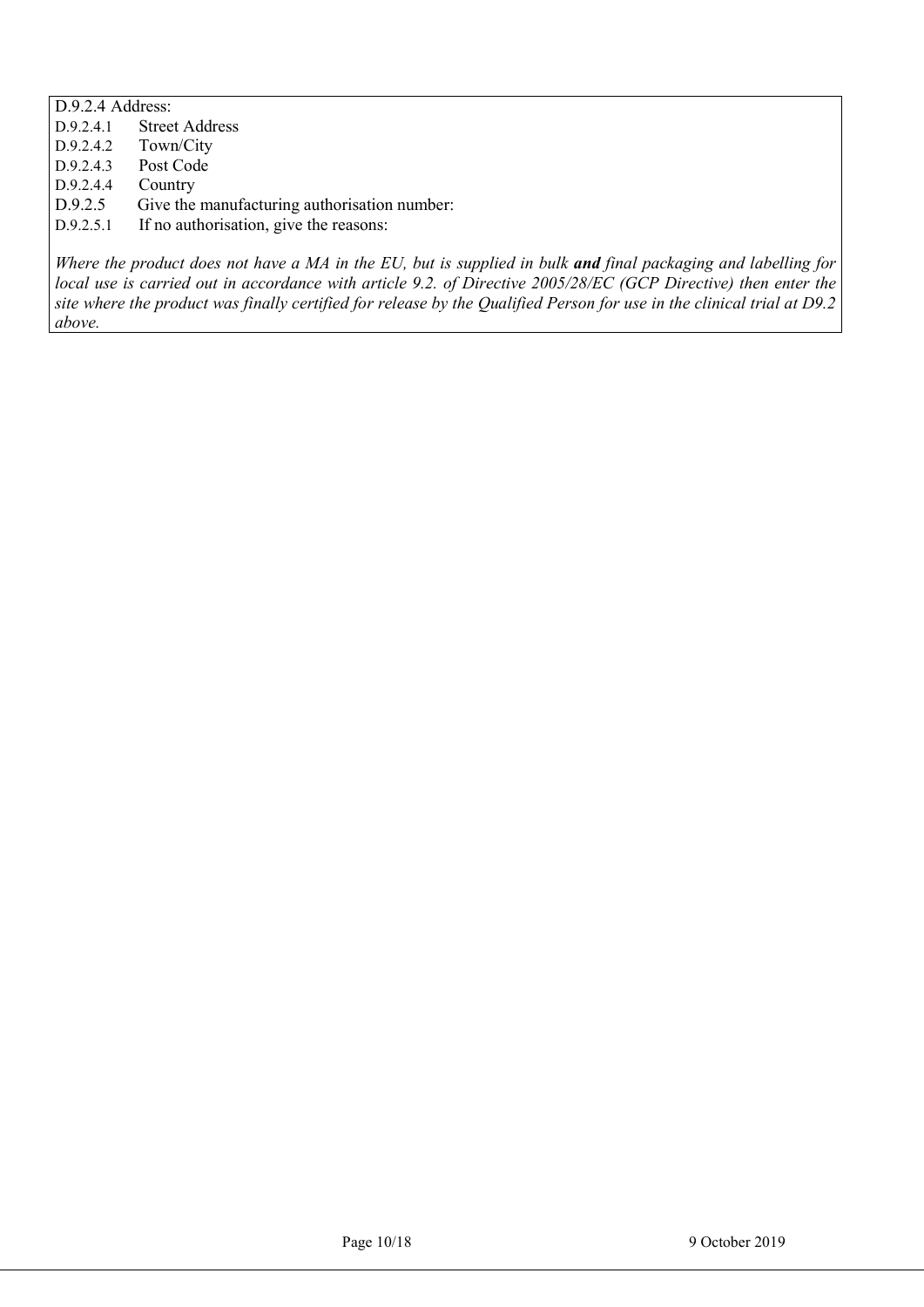D.9.2.4 Address: D.9.2.4.1 Street Address<br>D.9.2.4.2 Town/City Town/City D.9.2.4.3 Post Code D.9.2.4.4 Country D.9.2.5 Give the manufacturing authorisation number: D.9.2.5.1 If no authorisation, give the reasons:

Where the product does not have a MA in the EU, but is supplied in bulk and final packaging and labelling for local use is carried out in accordance with article 9.2. of Directive 2005/28/EC (GCP Directive) then enter the site where the product was finally certified for release by the Qualified Person for use in the clinical trial at D9.2 above.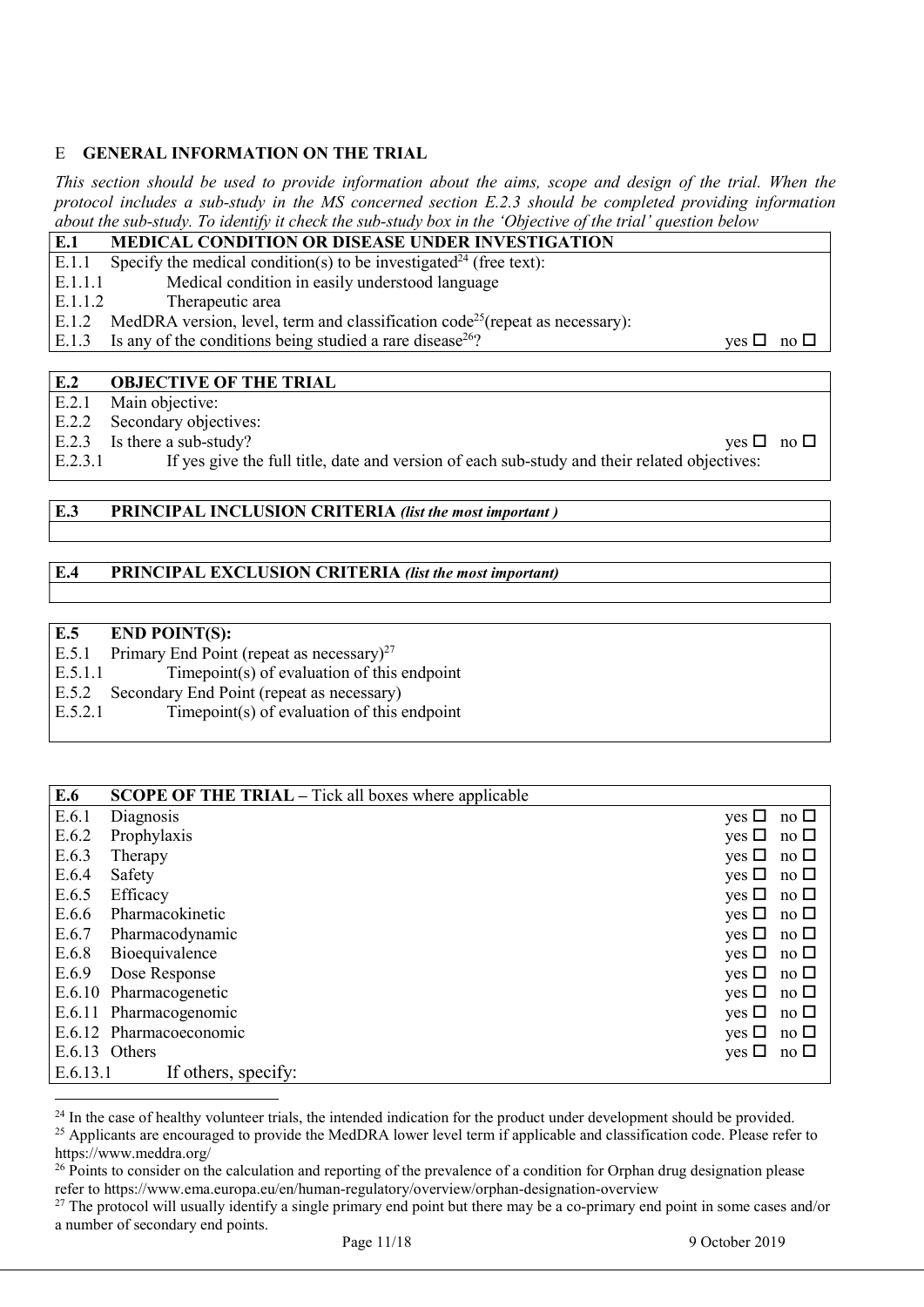### E GENERAL INFORMATION ON THE TRIAL

This section should be used to provide information about the aims, scope and design of the trial. When the protocol includes a sub-study in the MS concerned section E.2.3 should be completed providing information about the sub-study. To identify it check the sub-study box in the 'Objective of the trial' question below

| E.1     | <b>MEDICAL CONDITION OR DISEASE UNDER INVESTIGATION</b>                                        |                               |
|---------|------------------------------------------------------------------------------------------------|-------------------------------|
| E.1.1   | Specify the medical condition(s) to be investigated <sup>24</sup> (free text):                 |                               |
| E.1.1.1 | Medical condition in easily understood language                                                |                               |
| E.1.1.2 | Therapeutic area                                                                               |                               |
|         | E.1.2 MedDRA version, level, term and classification code <sup>25</sup> (repeat as necessary): |                               |
| E.1.3   | Is any of the conditions being studied a rare disease <sup>26</sup> ?                          | $\forall$ es $\Box$ no $\Box$ |
|         |                                                                                                |                               |

#### E.2 OBJECTIVE OF THE TRIAL

E.2.1 Main objective:

E.2.2 Secondary objectives:

E.2.3 Is there a sub-study?  $\Box$ 

E.2.3.1 If yes give the full title, date and version of each sub-study and their related objectives:

#### E.3 PRINCIPAL INCLUSION CRITERIA (list the most important)

#### E.4 PRINCIPAL EXCLUSION CRITERIA (list the most important)

#### E.5 END POINT(S):

 $\overline{a}$ 

E.5.1 Primary End Point (repeat as necessary)<sup>27</sup>

E.5.1.1 Timepoint(s) of evaluation of this endpoint

E.5.2 Secondary End Point (repeat as necessary)

E.5.2.1 Timepoint(s) of evaluation of this endpoint

| E.6      | <b>SCOPE OF THE TRIAL</b> – Tick all boxes where applicable |                               |
|----------|-------------------------------------------------------------|-------------------------------|
| E.6.1    | Diagnosis                                                   | no $\square$<br>$yes \Box$    |
| E.6.2    | Prophylaxis                                                 | no $\square$<br>yes $\Box$    |
| E.6.3    | Therapy                                                     | yes $\square$<br>no $\square$ |
| E.6.4    | Safety                                                      | $yes \Box$<br>no $\square$    |
| E.6.5    | Efficacy                                                    | $yes \Box$<br>no $\square$    |
| E.6.6    | Pharmacokinetic                                             | yes $\Box$<br>no $\square$    |
| E.6.7    | Pharmacodynamic                                             | yes $\Box$<br>no $\square$    |
| E.6.8    | Bioequivalence                                              | yes $\square$<br>no $\square$ |
| E.6.9    | Dose Response                                               | no $\square$<br>yes $\Box$    |
|          | E.6.10 Pharmacogenetic                                      | $yes \Box$<br>no $\square$    |
|          | E.6.11 Pharmacogenomic                                      | no $\square$<br>$yes \Box$    |
|          | E.6.12 Pharmacoeconomic                                     | no $\Box$<br>yes $\Box$       |
|          | E.6.13 Others                                               | yes $\square$<br>no $\Box$    |
| E.6.13.1 | If others, specify:                                         |                               |

<sup>&</sup>lt;sup>24</sup> In the case of healthy volunteer trials, the intended indication for the product under development should be provided. <sup>25</sup> Applicants are encouraged to provide the MedDRA lower level term if applicable and classification code. Please refer to https://www.meddra.org/

<sup>&</sup>lt;sup>26</sup> Points to consider on the calculation and reporting of the prevalence of a condition for Orphan drug designation please refer to https://www.ema.europa.eu/en/human-regulatory/overview/orphan-designation-overview

<sup>&</sup>lt;sup>27</sup> The protocol will usually identify a single primary end point but there may be a co-primary end point in some cases and/or a number of secondary end points.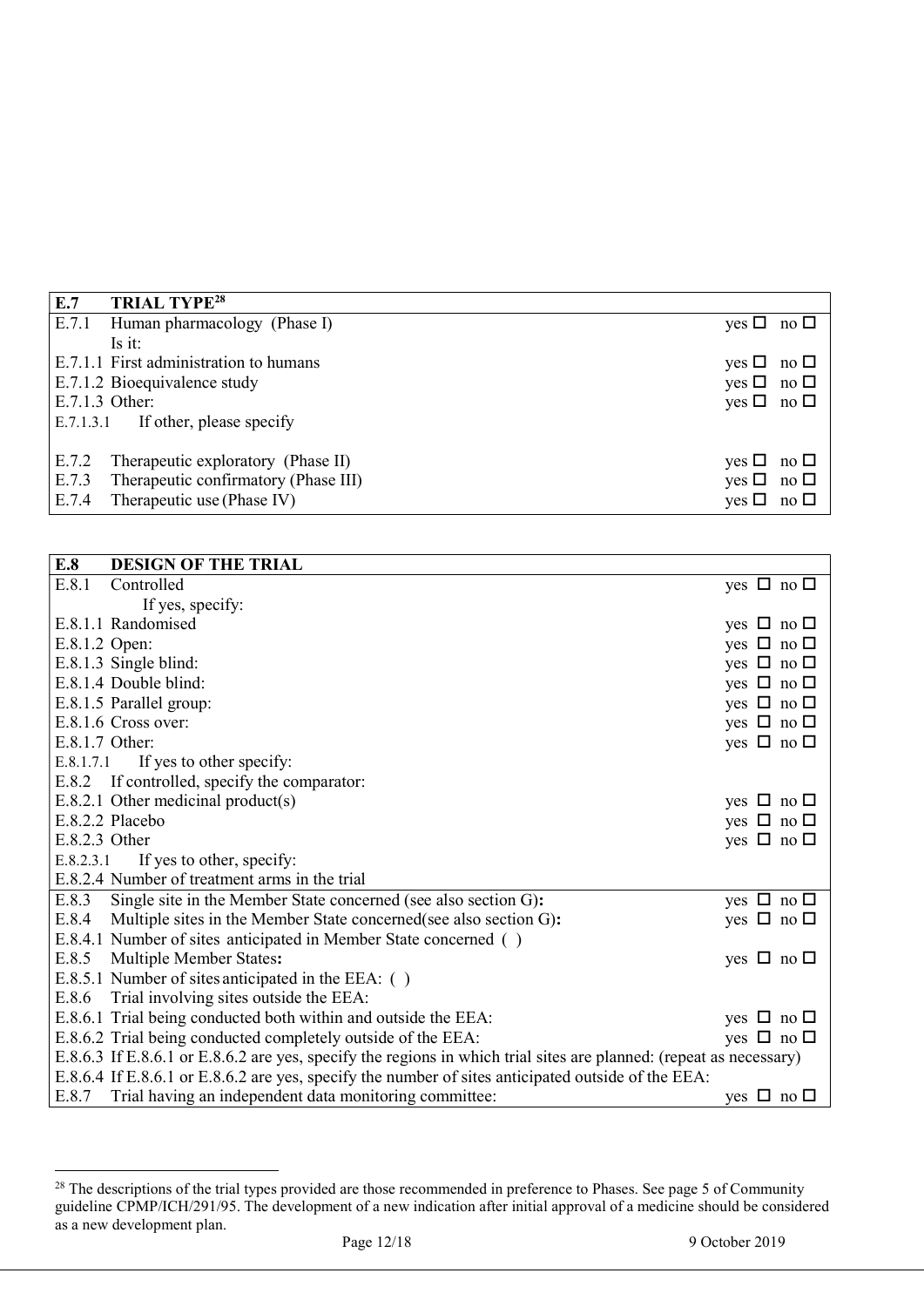| E.7                                  | <b>TRIAL TYPE<sup>28</sup></b>         |                      |  |
|--------------------------------------|----------------------------------------|----------------------|--|
|                                      | E.7.1 Human pharmacology (Phase I)     | yes $\Box$ no $\Box$ |  |
|                                      | Is it:                                 |                      |  |
|                                      | E.7.1.1 First administration to humans | yes $\Box$ no $\Box$ |  |
|                                      | E.7.1.2 Bioequivalence study           | yes $\Box$ no $\Box$ |  |
| E.7.1.3 Other:                       |                                        | yes $\Box$ no $\Box$ |  |
| $E.7.1.3.1$ If other, please specify |                                        |                      |  |
|                                      |                                        |                      |  |
| E.7.2                                | Therapeutic exploratory (Phase II)     | yes $\Box$ no $\Box$ |  |
| E.7.3                                | Therapeutic confirmatory (Phase III)   | yes $\Box$ no $\Box$ |  |
| E.7.4                                | Therapeutic use (Phase IV)             | $yes \Box no \Box$   |  |

| E.8            | <b>DESIGN OF THE TRIAL</b>                                                                                         |                      |
|----------------|--------------------------------------------------------------------------------------------------------------------|----------------------|
| E.8.1          | Controlled                                                                                                         | yes $\Box$ no $\Box$ |
|                | If yes, specify:                                                                                                   |                      |
|                | E.8.1.1 Randomised                                                                                                 | yes $\Box$ no $\Box$ |
| E.8.1.2 Open:  |                                                                                                                    | yes $\Box$ no $\Box$ |
|                | E.8.1.3 Single blind:                                                                                              | yes $\Box$ no $\Box$ |
|                | E.8.1.4 Double blind:                                                                                              | yes $\Box$ no $\Box$ |
|                | E.8.1.5 Parallel group:                                                                                            | yes $\Box$ no $\Box$ |
|                | E.8.1.6 Cross over:                                                                                                | yes $\Box$ no $\Box$ |
| E.8.1.7 Other: |                                                                                                                    | yes $\Box$ no $\Box$ |
| E.8.1.7.1      | If yes to other specify:                                                                                           |                      |
|                | E.8.2 If controlled, specify the comparator:                                                                       |                      |
|                | $E.8.2.1$ Other medicinal product(s)                                                                               | yes $\Box$ no $\Box$ |
|                | E.8.2.2 Placebo                                                                                                    | yes $\Box$ no $\Box$ |
| E.8.2.3 Other  |                                                                                                                    | yes $\Box$ no $\Box$ |
| E.8.2.3.1      | If yes to other, specify:                                                                                          |                      |
|                | E.8.2.4 Number of treatment arms in the trial                                                                      |                      |
| E.8.3          | Single site in the Member State concerned (see also section G):                                                    | yes $\Box$ no $\Box$ |
| E.8.4          | Multiple sites in the Member State concerned (see also section G):                                                 | yes $\Box$ no $\Box$ |
|                | E.8.4.1 Number of sites anticipated in Member State concerned ()                                                   |                      |
|                | E.8.5 Multiple Member States:                                                                                      | yes $\Box$ no $\Box$ |
|                | E.8.5.1 Number of sites anticipated in the EEA: ()                                                                 |                      |
| E.8.6          | Trial involving sites outside the EEA:                                                                             |                      |
|                | E.8.6.1 Trial being conducted both within and outside the EEA:                                                     | yes $\Box$ no $\Box$ |
|                | E.8.6.2 Trial being conducted completely outside of the EEA:                                                       | yes $\Box$ no $\Box$ |
|                | E.8.6.3 If E.8.6.1 or E.8.6.2 are yes, specify the regions in which trial sites are planned: (repeat as necessary) |                      |
|                | E.8.6.4 If E.8.6.1 or E.8.6.2 are yes, specify the number of sites anticipated outside of the EEA:                 |                      |
|                | E.8.7 Trial having an independent data monitoring committee:                                                       | yes $\Box$ no $\Box$ |

<sup>&</sup>lt;sup>28</sup> The descriptions of the trial types provided are those recommended in preference to Phases. See page 5 of Community guideline CPMP/ICH/291/95. The development of a new indication after initial approval of a medicine should be considered as a new development plan.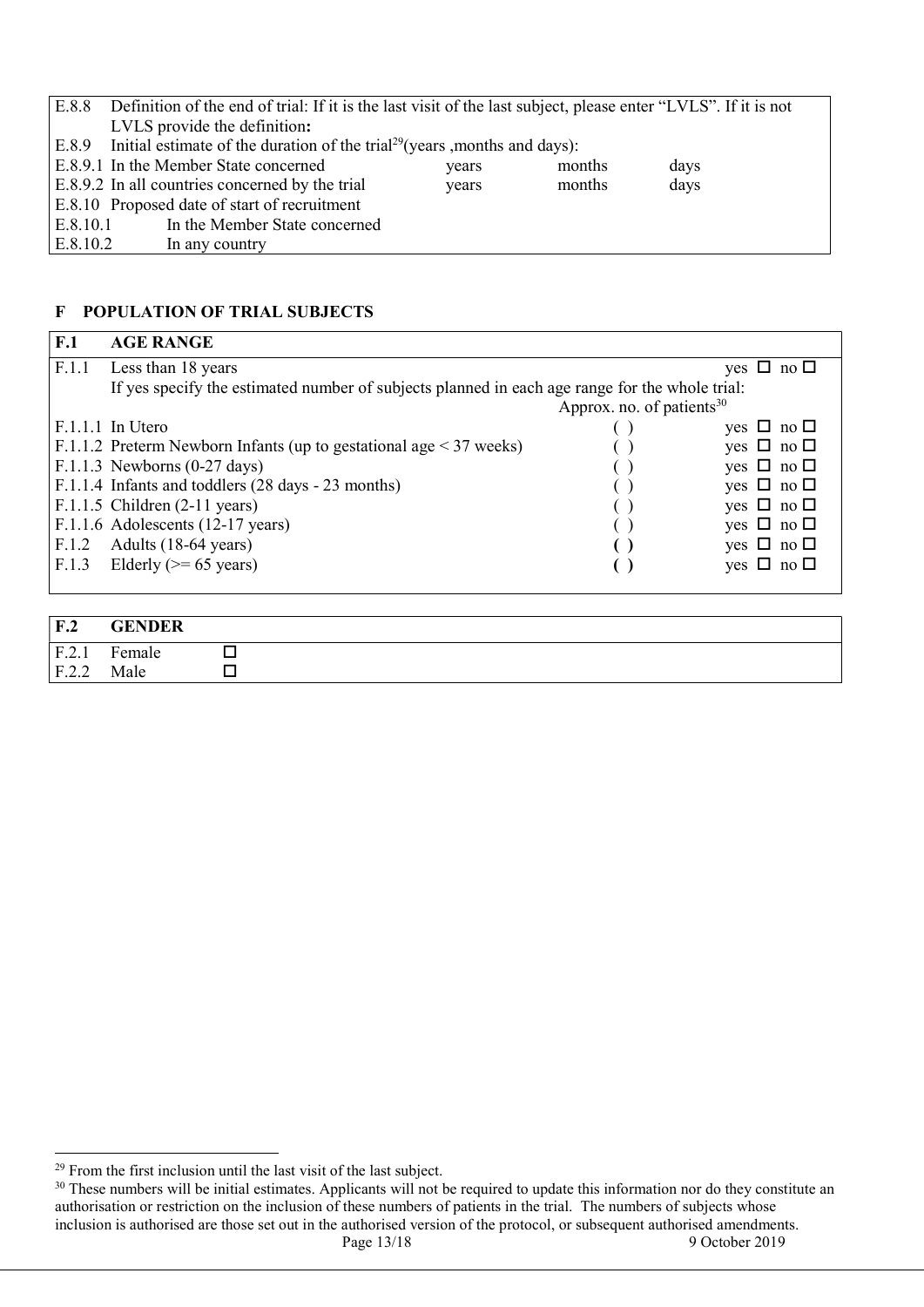| E.8.8                                                                      | Definition of the end of trial: If it is the last visit of the last subject, please enter "LVLS". If it is not |       |        |      |  |
|----------------------------------------------------------------------------|----------------------------------------------------------------------------------------------------------------|-------|--------|------|--|
|                                                                            | LVLS provide the definition:                                                                                   |       |        |      |  |
|                                                                            | $ E.8.9$ Initial estimate of the duration of the trial <sup>29</sup> (years , months and days):                |       |        |      |  |
|                                                                            | E.8.9.1 In the Member State concerned                                                                          | years | months | days |  |
| E.8.9.2 In all countries concerned by the trial<br>days<br>months<br>years |                                                                                                                |       |        |      |  |
|                                                                            | E.8.10 Proposed date of start of recruitment                                                                   |       |        |      |  |
| E.8.10.1                                                                   | In the Member State concerned                                                                                  |       |        |      |  |
| E.8.10.2                                                                   | In any country                                                                                                 |       |        |      |  |

### F POPULATION OF TRIAL SUBJECTS

| F.1             | <b>AGE RANGE</b>                                                                               |  |                         |  |
|-----------------|------------------------------------------------------------------------------------------------|--|-------------------------|--|
| F.1.1           | Less than 18 years                                                                             |  | $\Box$ no $\Box$<br>yes |  |
|                 | If yes specify the estimated number of subjects planned in each age range for the whole trial: |  |                         |  |
|                 | Approx. no. of patients $30$                                                                   |  |                         |  |
|                 | $F.1.1.1$ In Utero                                                                             |  | yes $\Box$ no $\Box$    |  |
|                 | F.1.1.2 Preterm Newborn Infants (up to gestational age $\leq$ 37 weeks)                        |  | yes $\Box$ no $\Box$    |  |
|                 | $F.1.1.3$ Newborns (0-27 days)                                                                 |  | yes $\Box$ no $\Box$    |  |
|                 | F.1.1.4 Infants and toddlers (28 days - 23 months)                                             |  | yes $\Box$ no $\Box$    |  |
|                 | $F.1.1.5$ Children (2-11 years)                                                                |  | yes $\Box$ no $\Box$    |  |
|                 | F.1.1.6 Adolescents (12-17 years)                                                              |  | yes $\Box$ no $\Box$    |  |
| F.1.2           | Adults (18-64 years)                                                                           |  | yes $\Box$ no $\Box$    |  |
|                 | F.1.3 Elderly ( $\ge$ = 65 years)                                                              |  | yes $\Box$ no $\Box$    |  |
|                 |                                                                                                |  |                         |  |
|                 |                                                                                                |  |                         |  |
| F <sub>.2</sub> | <b>GENDER</b>                                                                                  |  |                         |  |
| F.2.1           | Female<br>П                                                                                    |  |                         |  |
| F.2.2           | Male                                                                                           |  |                         |  |

 $29$  From the first inclusion until the last visit of the last subject.

Page 13/18 9 October 2019  $30$  These numbers will be initial estimates. Applicants will not be required to update this information nor do they constitute an authorisation or restriction on the inclusion of these numbers of patients in the trial. The numbers of subjects whose inclusion is authorised are those set out in the authorised version of the protocol, or subsequent authorised amendments.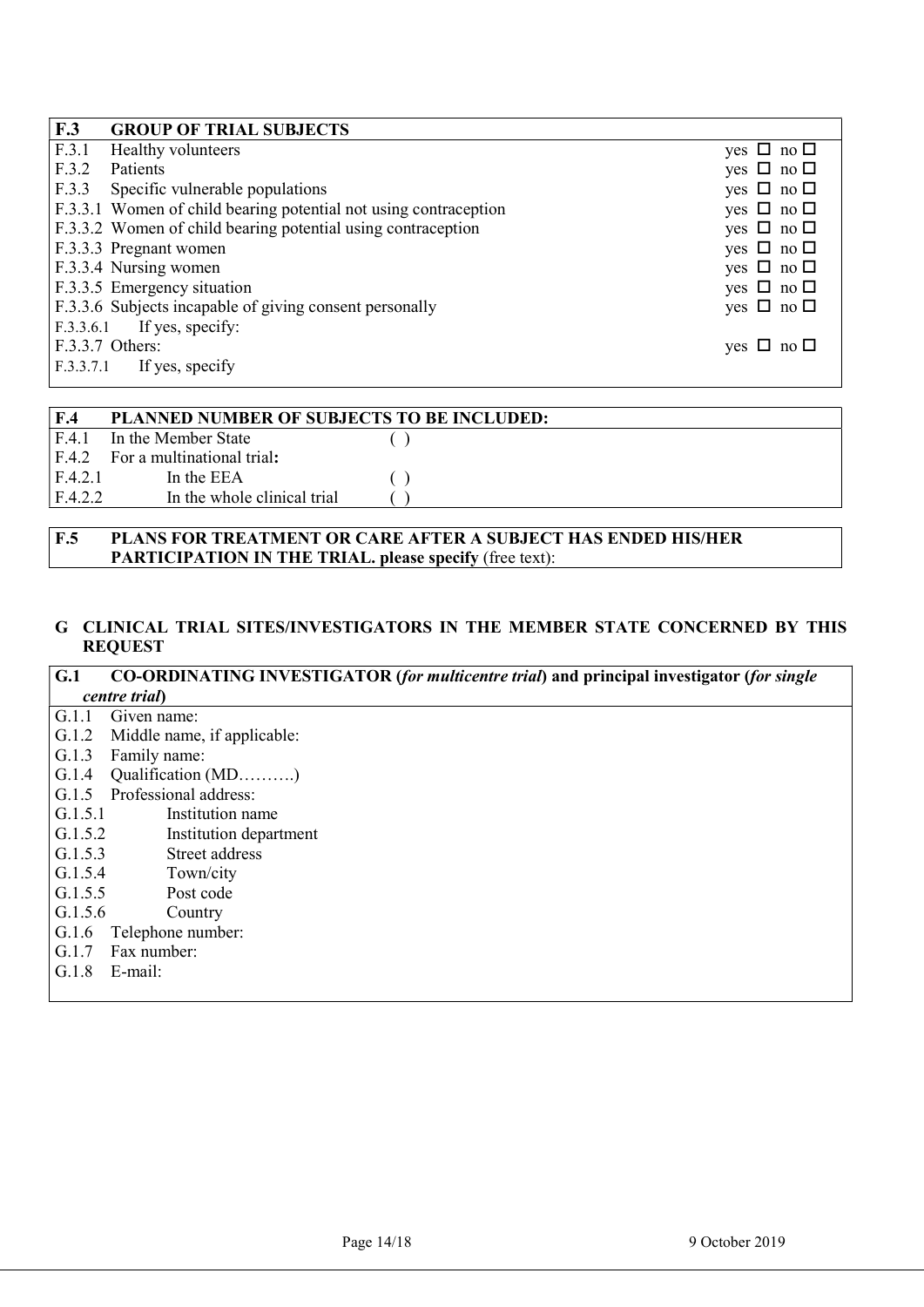| F.3<br><b>GROUP OF TRIAL SUBJECTS</b>                            |                      |
|------------------------------------------------------------------|----------------------|
| F.3.1<br><b>Healthy volunteers</b>                               | yes $\Box$ no $\Box$ |
| F.3.2<br>Patients                                                | yes $\Box$ no $\Box$ |
| F.3.3<br>Specific vulnerable populations                         | yes $\Box$ no $\Box$ |
| F.3.3.1 Women of child bearing potential not using contraception | yes $\Box$ no $\Box$ |
| F.3.3.2 Women of child bearing potential using contraception     | yes $\Box$ no $\Box$ |
| F.3.3.3 Pregnant women                                           | yes $\Box$ no $\Box$ |
| F.3.3.4 Nursing women                                            | yes $\Box$ no $\Box$ |
| F.3.3.5 Emergency situation                                      | yes $\Box$ no $\Box$ |
| F.3.3.6 Subjects incapable of giving consent personally          | yes $\Box$ no $\Box$ |
| $F.3.3.6.1$ If yes, specify:                                     |                      |
| F.3.3.7 Others:                                                  | yes $\Box$ no $\Box$ |
| $F.3.3.7.1$ If yes, specify                                      |                      |

| F.4     | <b>PLANNED NUMBER OF SUBJECTS TO BE INCLUDED:</b> |  |
|---------|---------------------------------------------------|--|
| F.4.1   | In the Member State                               |  |
| E.4.2   | For a multinational trial:                        |  |
| F.4.2.1 | In the EEA                                        |  |
| F.4.2.2 | In the whole clinical trial                       |  |

### F.5 PLANS FOR TREATMENT OR CARE AFTER A SUBJECT HAS ENDED HIS/HER PARTICIPATION IN THE TRIAL. please specify (free text):

#### G CLINICAL TRIAL SITES/INVESTIGATORS IN THE MEMBER STATE CONCERNED BY THIS REQUEST

#### G.1 CO-ORDINATING INVESTIGATOR (for multicentre trial) and principal investigator (for single centre trial) G.1.1 Given name: G.1.2 Middle name, if applicable: G.1.3 Family name: G.1.4 Qualification (MD……….) G.1.5 Professional address:

- G.1.5.1 Institution name
- G.1.5.2 Institution department
- G.1.5.3 Street address
- G.1.5.4 Town/city
- G.1.5.5 Post code
- G.1.5.6 Country
- 
- G.1.6 Telephone number:
- G.1.7 Fax number:
- G.1.8 E-mail: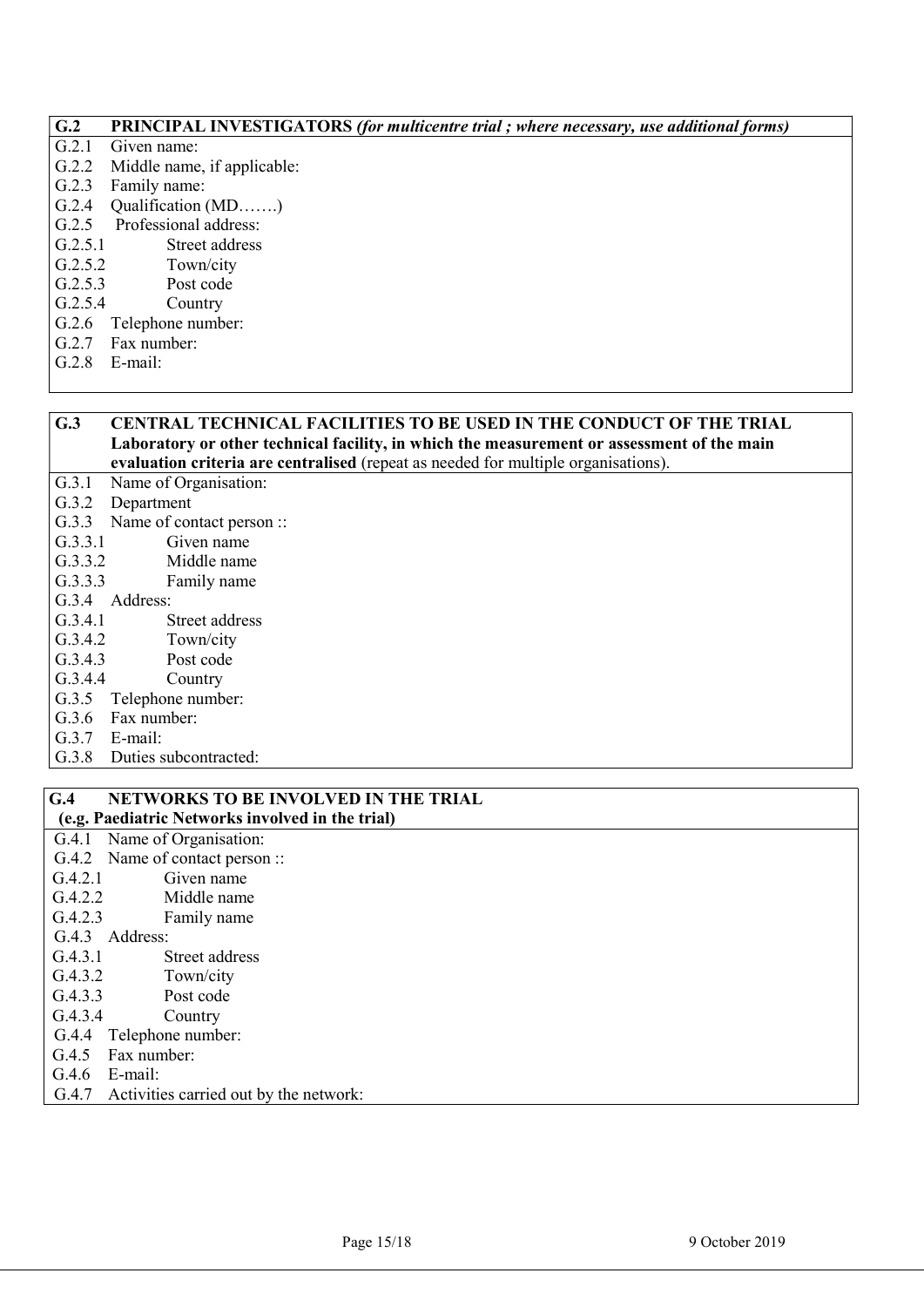#### G.2 PRINCIPAL INVESTIGATORS (for multicentre trial ; where necessary, use additional forms)

- G.2.1 Given name:
- G.2.2 Middle name, if applicable:
- G.2.3 Family name:
- G.2.4 Oualification (MD…….)
- G.2.5 Professional address:
- G.2.5.1 Street address
- G.2.5.2 Town/city
- G.2.5.3 Post code
- G.2.5.4 Country
- G.2.6 Telephone number:
- G.2.7 Fax number:
- G.2.8 E-mail:

#### G.3 CENTRAL TECHNICAL FACILITIES TO BE USED IN THE CONDUCT OF THE TRIAL Laboratory or other technical facility, in which the measurement or assessment of the main evaluation criteria are centralised (repeat as needed for multiple organisations).

G.3.1 Name of Organisation:

- G.3.2 Department
- G.3.3 Name of contact person ::
- G.3.3.1 Given name
- G.3.3.2 Middle name
- G.3.3.3 Family name
- G.3.4 Address:
- G.3.4.1 Street address
- G.3.4.2 Town/city
- G.3.4.3 Post code
- G.3.4.4 Country
- G.3.5 Telephone number:
- G.3.6 Fax number:
- G.3.7 E-mail:
- G.3.8 Duties subcontracted:

#### G.4 NETWORKS TO BE INVOLVED IN THE TRIAL (e.g. Paediatric Networks involved in the trial)

G.4.1 Name of Organisation: G.4.2 Name of contact person :: G.4.2.1 Given name G.4.2.2 Middle name G.4.2.3 Family name G.4.3 Address: G.4.3.1 Street address G.4.3.2 Town/city G.4.3.3 Post code G.4.3.4 Country G.4.4 Telephone number: G.4.5 Fax number: G.4.6 E-mail:

G.4.7 Activities carried out by the network: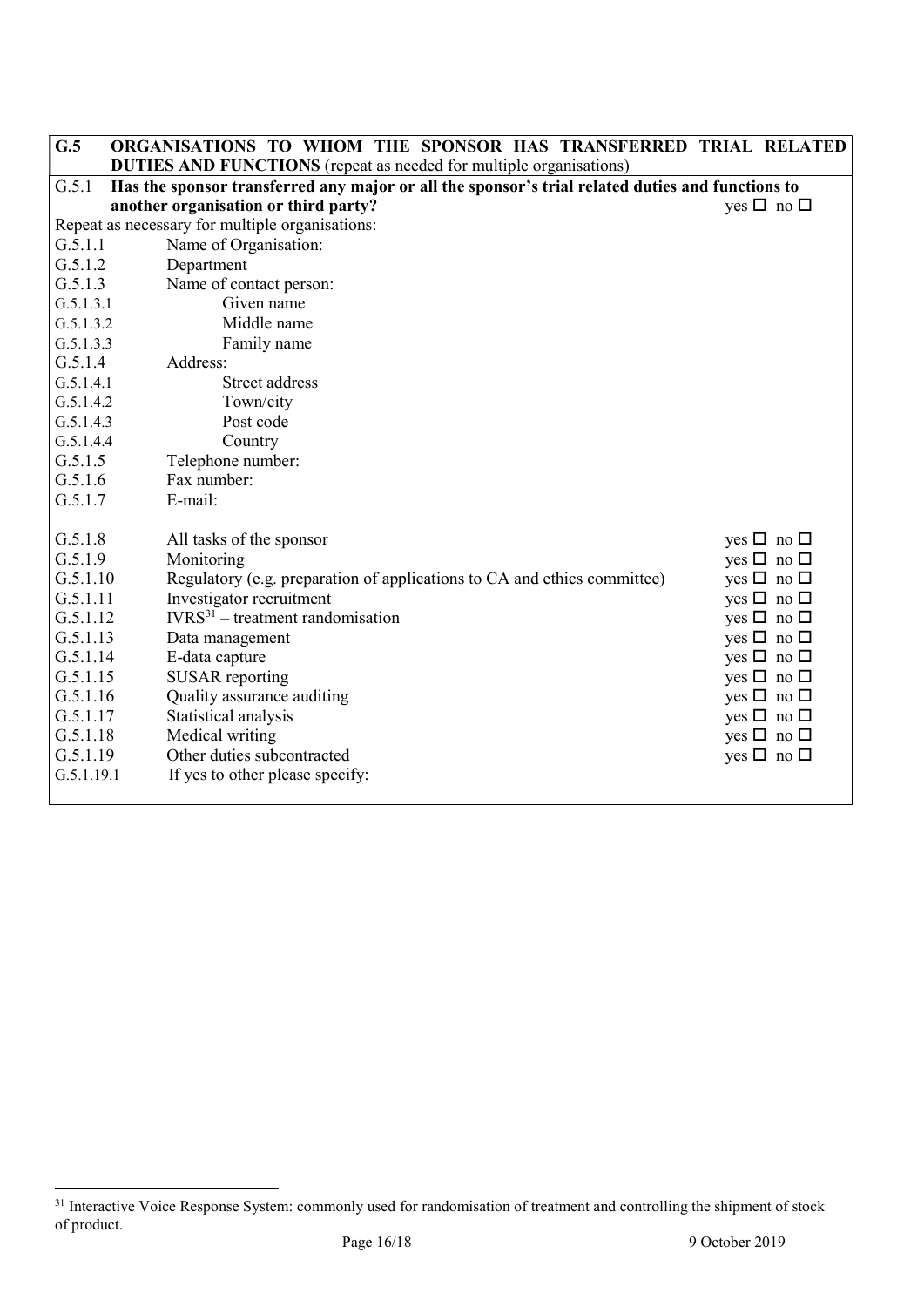| G.5        | ORGANISATIONS TO WHOM THE SPONSOR HAS TRANSFERRED TRIAL RELATED                                  |                      |
|------------|--------------------------------------------------------------------------------------------------|----------------------|
|            | <b>DUTIES AND FUNCTIONS</b> (repeat as needed for multiple organisations)                        |                      |
| G.5.1      | Has the sponsor transferred any major or all the sponsor's trial related duties and functions to |                      |
|            | another organisation or third party?                                                             | yes $\Box$ no $\Box$ |
|            | Repeat as necessary for multiple organisations:                                                  |                      |
| G.5.1.1    | Name of Organisation:                                                                            |                      |
| G.5.1.2    | Department                                                                                       |                      |
| G.5.1.3    | Name of contact person:                                                                          |                      |
| G.5.1.3.1  | Given name                                                                                       |                      |
| G.5.1.3.2  | Middle name                                                                                      |                      |
| G.5.1.3.3  | Family name                                                                                      |                      |
| G.5.1.4    | Address:                                                                                         |                      |
| G.5.1.4.1  | <b>Street address</b>                                                                            |                      |
| G.5.1.4.2  | Town/city                                                                                        |                      |
| G.5.1.4.3  | Post code                                                                                        |                      |
| G.5.1.4.4  | Country                                                                                          |                      |
| G.5.1.5    | Telephone number:                                                                                |                      |
| G.5.1.6    | Fax number:                                                                                      |                      |
| G.5.1.7    | E-mail:                                                                                          |                      |
|            |                                                                                                  |                      |
| G.5.1.8    | All tasks of the sponsor                                                                         | yes $\Box$ no $\Box$ |
| G.5.1.9    | Monitoring                                                                                       | yes $\Box$ no $\Box$ |
| G.5.1.10   | Regulatory (e.g. preparation of applications to CA and ethics committee)                         | yes $\Box$ no $\Box$ |
| G.5.1.11   | Investigator recruitment                                                                         | yes $\Box$ no $\Box$ |
| G.5.1.12   | $IVRS31$ – treatment randomisation                                                               | yes $\Box$ no $\Box$ |
| G.5.1.13   | Data management                                                                                  | yes $\Box$ no $\Box$ |
| G.5.1.14   | E-data capture                                                                                   | yes $\Box$ no $\Box$ |
| G.5.1.15   | <b>SUSAR</b> reporting                                                                           | yes $\Box$ no $\Box$ |
| G.5.1.16   | Quality assurance auditing                                                                       | yes $\Box$ no $\Box$ |
| G.5.1.17   | Statistical analysis                                                                             | yes $\Box$ no $\Box$ |
| G.5.1.18   | Medical writing                                                                                  | yes $\Box$ no $\Box$ |
| G.5.1.19   | Other duties subcontracted                                                                       | yes $\Box$ no $\Box$ |
| G.5.1.19.1 | If yes to other please specify:                                                                  |                      |
|            |                                                                                                  |                      |

<sup>&</sup>lt;sup>31</sup> Interactive Voice Response System: commonly used for randomisation of treatment and controlling the shipment of stock of product.